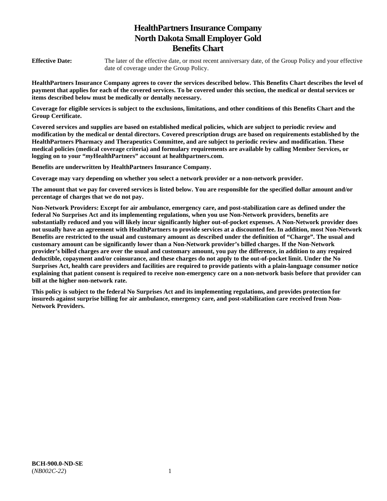# **HealthPartners Insurance Company North Dakota Small Employer Gold Benefits Chart**

**Effective Date:** The later of the effective date, or most recent anniversary date, of the Group Policy and your effective date of coverage under the Group Policy.

**HealthPartners Insurance Company agrees to cover the services described below. This Benefits Chart describes the level of payment that applies for each of the covered services. To be covered under this section, the medical or dental services or items described below must be medically or dentally necessary.** 

**Coverage for eligible services is subject to the exclusions, limitations, and other conditions of this Benefits Chart and the Group Certificate.** 

**Covered services and supplies are based on established medical policies, which are subject to periodic review and modification by the medical or dental directors. Covered prescription drugs are based on requirements established by the HealthPartners Pharmacy and Therapeutics Committee, and are subject to periodic review and modification. These medical policies (medical coverage criteria) and formulary requirements are available by calling Member Services, or logging on to your "***my***HealthPartners" account at [healthpartners.com.](http://healthpartners.com/)** 

**Benefits are underwritten by HealthPartners Insurance Company.** 

**Coverage may vary depending on whether you select a network provider or a non-network provider.** 

**The amount that we pay for covered services is listed below. You are responsible for the specified dollar amount and/or percentage of charges that we do not pay.** 

**Non-Network Providers: Except for air ambulance, emergency care, and post-stabilization care as defined under the federal No Surprises Act and its implementing regulations, when you use Non-Network providers, benefits are substantially reduced and you will likely incur significantly higher out-of-pocket expenses. A Non-Network provider does not usually have an agreement with HealthPartners to provide services at a discounted fee. In addition, most Non-Network Benefits are restricted to the usual and customary amount as described under the definition of "Charge". The usual and customary amount can be significantly lower than a Non-Network provider's billed charges. If the Non-Network provider's billed charges are over the usual and customary amount, you pay the difference, in addition to any required deductible, copayment and/or coinsurance, and these charges do not apply to the out-of-pocket limit. Under the No Surprises Act, health care providers and facilities are required to provide patients with a plain-language consumer notice explaining that patient consent is required to receive non-emergency care on a non-network basis before that provider can bill at the higher non-network rate.** 

**This policy is subject to the federal No Surprises Act and its implementing regulations, and provides protection for insureds against surprise billing for air ambulance, emergency care, and post-stabilization care received from Non-Network Providers.**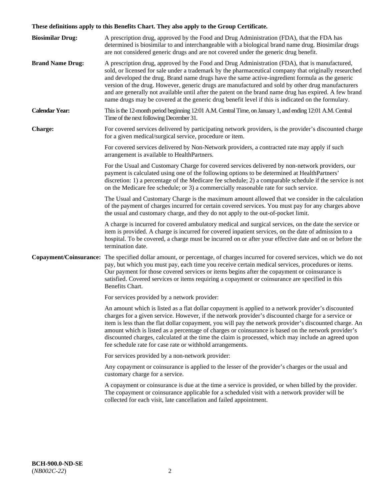# **These definitions apply to this Benefits Chart. They also apply to the Group Certificate.**

| <b>Biosimilar Drug:</b> | A prescription drug, approved by the Food and Drug Administration (FDA), that the FDA has<br>determined is biosimilar to and interchangeable with a biological brand name drug. Biosimilar drugs<br>are not considered generic drugs and are not covered under the generic drug benefit.                                                                                                                                                                                                                                                                                                                                        |
|-------------------------|---------------------------------------------------------------------------------------------------------------------------------------------------------------------------------------------------------------------------------------------------------------------------------------------------------------------------------------------------------------------------------------------------------------------------------------------------------------------------------------------------------------------------------------------------------------------------------------------------------------------------------|
| <b>Brand Name Drug:</b> | A prescription drug, approved by the Food and Drug Administration (FDA), that is manufactured,<br>sold, or licensed for sale under a trademark by the pharmaceutical company that originally researched<br>and developed the drug. Brand name drugs have the same active-ingredient formula as the generic<br>version of the drug. However, generic drugs are manufactured and sold by other drug manufacturers<br>and are generally not available until after the patent on the brand name drug has expired. A few brand<br>name drugs may be covered at the generic drug benefit level if this is indicated on the formulary. |
| <b>Calendar Year:</b>   | This is the 12-month period beginning 12:01 A.M. Central Time, on January 1, and ending 12:01 A.M. Central<br>Time of the next following December 31.                                                                                                                                                                                                                                                                                                                                                                                                                                                                           |
| <b>Charge:</b>          | For covered services delivered by participating network providers, is the provider's discounted charge<br>for a given medical/surgical service, procedure or item.                                                                                                                                                                                                                                                                                                                                                                                                                                                              |
|                         | For covered services delivered by Non-Network providers, a contracted rate may apply if such<br>arrangement is available to HealthPartners.                                                                                                                                                                                                                                                                                                                                                                                                                                                                                     |
|                         | For the Usual and Customary Charge for covered services delivered by non-network providers, our<br>payment is calculated using one of the following options to be determined at HealthPartners'<br>discretion: 1) a percentage of the Medicare fee schedule; 2) a comparable schedule if the service is not<br>on the Medicare fee schedule; or 3) a commercially reasonable rate for such service.                                                                                                                                                                                                                             |
|                         | The Usual and Customary Charge is the maximum amount allowed that we consider in the calculation<br>of the payment of charges incurred for certain covered services. You must pay for any charges above<br>the usual and customary charge, and they do not apply to the out-of-pocket limit.                                                                                                                                                                                                                                                                                                                                    |
|                         | A charge is incurred for covered ambulatory medical and surgical services, on the date the service or<br>item is provided. A charge is incurred for covered inpatient services, on the date of admission to a<br>hospital. To be covered, a charge must be incurred on or after your effective date and on or before the<br>termination date.                                                                                                                                                                                                                                                                                   |
|                         | Copayment/Coinsurance: The specified dollar amount, or percentage, of charges incurred for covered services, which we do not<br>pay, but which you must pay, each time you receive certain medical services, procedures or items.<br>Our payment for those covered services or items begins after the copayment or coinsurance is<br>satisfied. Covered services or items requiring a copayment or coinsurance are specified in this<br>Benefits Chart.                                                                                                                                                                         |
|                         | For services provided by a network provider:                                                                                                                                                                                                                                                                                                                                                                                                                                                                                                                                                                                    |
|                         | An amount which is listed as a flat dollar copayment is applied to a network provider's discounted<br>charges for a given service. However, if the network provider's discounted charge for a service or<br>item is less than the flat dollar copayment, you will pay the network provider's discounted charge. An<br>amount which is listed as a percentage of charges or coinsurance is based on the network provider's<br>discounted charges, calculated at the time the claim is processed, which may include an agreed upon<br>fee schedule rate for case rate or withhold arrangements.                                   |
|                         | For services provided by a non-network provider:                                                                                                                                                                                                                                                                                                                                                                                                                                                                                                                                                                                |
|                         | Any copayment or coinsurance is applied to the lesser of the provider's charges or the usual and<br>customary charge for a service.                                                                                                                                                                                                                                                                                                                                                                                                                                                                                             |
|                         | A copayment or coinsurance is due at the time a service is provided, or when billed by the provider.<br>The copayment or coinsurance applicable for a scheduled visit with a network provider will be<br>collected for each visit, late cancellation and failed appointment.                                                                                                                                                                                                                                                                                                                                                    |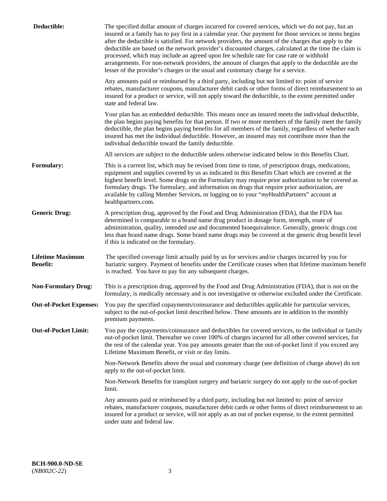| Deductible:                                | The specified dollar amount of charges incurred for covered services, which we do not pay, but an<br>insured or a family has to pay first in a calendar year. Our payment for those services or items begins<br>after the deductible is satisfied. For network providers, the amount of the charges that apply to the<br>deductible are based on the network provider's discounted charges, calculated at the time the claim is<br>processed, which may include an agreed upon fee schedule rate for case rate or withhold<br>arrangements. For non-network providers, the amount of charges that apply to the deductible are the<br>lesser of the provider's charges or the usual and customary charge for a service. |
|--------------------------------------------|------------------------------------------------------------------------------------------------------------------------------------------------------------------------------------------------------------------------------------------------------------------------------------------------------------------------------------------------------------------------------------------------------------------------------------------------------------------------------------------------------------------------------------------------------------------------------------------------------------------------------------------------------------------------------------------------------------------------|
|                                            | Any amounts paid or reimbursed by a third party, including but not limited to: point of service<br>rebates, manufacturer coupons, manufacturer debit cards or other forms of direct reimbursement to an<br>insured for a product or service, will not apply toward the deductible, to the extent permitted under<br>state and federal law.                                                                                                                                                                                                                                                                                                                                                                             |
|                                            | Your plan has an embedded deductible. This means once an insured meets the individual deductible,<br>the plan begins paying benefits for that person. If two or more members of the family meet the family<br>deductible, the plan begins paying benefits for all members of the family, regardless of whether each<br>insured has met the individual deductible. However, an insured may not contribute more than the<br>individual deductible toward the family deductible.                                                                                                                                                                                                                                          |
|                                            | All services are subject to the deductible unless otherwise indicated below in this Benefits Chart.                                                                                                                                                                                                                                                                                                                                                                                                                                                                                                                                                                                                                    |
| <b>Formulary:</b>                          | This is a current list, which may be revised from time to time, of prescription drugs, medications,<br>equipment and supplies covered by us as indicated in this Benefits Chart which are covered at the<br>highest benefit level. Some drugs on the Formulary may require prior authorization to be covered as<br>formulary drugs. The formulary, and information on drugs that require prior authorization, are<br>available by calling Member Services, or logging on to your "myHealthPartners" account at<br>healthpartners.com.                                                                                                                                                                                  |
| <b>Generic Drug:</b>                       | A prescription drug, approved by the Food and Drug Administration (FDA), that the FDA has<br>determined is comparable to a brand name drug product in dosage form, strength, route of<br>administration, quality, intended use and documented bioequivalence. Generally, generic drugs cost<br>less than brand name drugs. Some brand name drugs may be covered at the generic drug benefit level<br>if this is indicated on the formulary.                                                                                                                                                                                                                                                                            |
| <b>Lifetime Maximum</b><br><b>Benefit:</b> | The specified coverage limit actually paid by us for services and/or charges incurred by you for<br>bariatric surgery. Payment of benefits under the Certificate ceases when that lifetime maximum benefit<br>is reached. You have to pay for any subsequent charges.                                                                                                                                                                                                                                                                                                                                                                                                                                                  |
| <b>Non-Formulary Drug:</b>                 | This is a prescription drug, approved by the Food and Drug Administration (FDA), that is not on the<br>formulary, is medically necessary and is not investigative or otherwise excluded under the Certificate.                                                                                                                                                                                                                                                                                                                                                                                                                                                                                                         |
|                                            | Out-of-Pocket Expenses: You pay the specified copayments/coinsurance and deductibles applicable for particular services,<br>subject to the out-of-pocket limit described below. These amounts are in addition to the monthly<br>premium payments.                                                                                                                                                                                                                                                                                                                                                                                                                                                                      |
| <b>Out-of-Pocket Limit:</b>                | You pay the copayments/coinsurance and deductibles for covered services, to the individual or family<br>out-of-pocket limit. Thereafter we cover 100% of charges incurred for all other covered services, for<br>the rest of the calendar year. You pay amounts greater than the out-of-pocket limit if you exceed any<br>Lifetime Maximum Benefit, or visit or day limits.                                                                                                                                                                                                                                                                                                                                            |
|                                            | Non-Network Benefits above the usual and customary charge (see definition of charge above) do not<br>apply to the out-of-pocket limit.                                                                                                                                                                                                                                                                                                                                                                                                                                                                                                                                                                                 |
|                                            | Non-Network Benefits for transplant surgery and bariatric surgery do not apply to the out-of-pocket<br>limit.                                                                                                                                                                                                                                                                                                                                                                                                                                                                                                                                                                                                          |
|                                            | Any amounts paid or reimbursed by a third party, including but not limited to: point of service<br>rebates, manufacturer coupons, manufacturer debit cards or other forms of direct reimbursement to an<br>insured for a product or service, will not apply as an out of pocket expense, to the extent permitted<br>under state and federal law.                                                                                                                                                                                                                                                                                                                                                                       |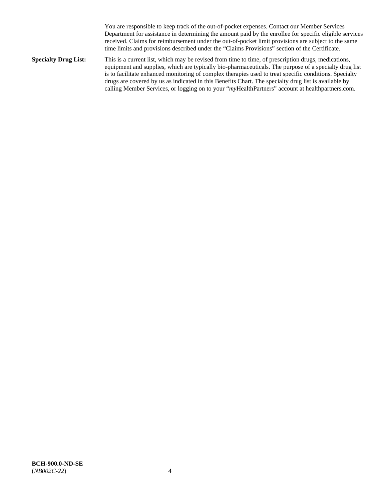You are responsible to keep track of the out-of-pocket expenses. Contact our Member Services Department for assistance in determining the amount paid by the enrollee for specific eligible services received. Claims for reimbursement under the out-of-pocket limit provisions are subject to the same time limits and provisions described under the "Claims Provisions" section of the Certificate.

**Specialty Drug List:** This is a current list, which may be revised from time to time, of prescription drugs, medications, equipment and supplies, which are typically bio-pharmaceuticals. The purpose of a specialty drug list is to facilitate enhanced monitoring of complex therapies used to treat specific conditions. Specialty drugs are covered by us as indicated in this Benefits Chart. The specialty drug list is available by calling Member Services, or logging on to your "*my*HealthPartners" account at [healthpartners.com.](http://www.healthpartners.com/)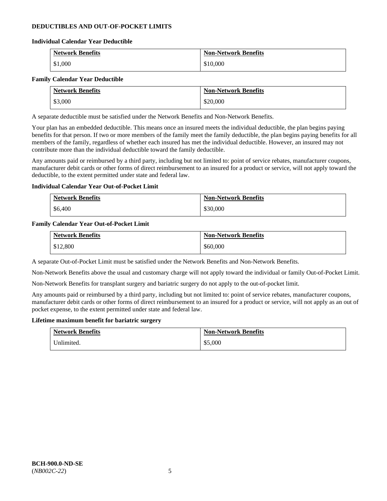# **DEDUCTIBLES AND OUT-OF-POCKET LIMITS**

### **Individual Calendar Year Deductible**

| <b>Network Benefits</b> | <b>Non-Network Benefits</b> |
|-------------------------|-----------------------------|
| \$1,000                 | \$10,000                    |

### **Family Calendar Year Deductible**

| <b>Network Benefits</b> | <b>Non-Network Benefits</b> |
|-------------------------|-----------------------------|
| \$3,000                 | \$20,000                    |

A separate deductible must be satisfied under the Network Benefits and Non-Network Benefits.

Your plan has an embedded deductible. This means once an insured meets the individual deductible, the plan begins paying benefits for that person. If two or more members of the family meet the family deductible, the plan begins paying benefits for all members of the family, regardless of whether each insured has met the individual deductible. However, an insured may not contribute more than the individual deductible toward the family deductible.

Any amounts paid or reimbursed by a third party, including but not limited to: point of service rebates, manufacturer coupons, manufacturer debit cards or other forms of direct reimbursement to an insured for a product or service, will not apply toward the deductible, to the extent permitted under state and federal law.

### **Individual Calendar Year Out-of-Pocket Limit**

| <b>Network Benefits</b> | <b>Non-Network Benefits</b> |
|-------------------------|-----------------------------|
| \$6,400                 | \$30,000                    |

### **Family Calendar Year Out-of-Pocket Limit**

| <b>Network Benefits</b> | <b>Non-Network Benefits</b> |
|-------------------------|-----------------------------|
| \$12,800                | \$60,000                    |

A separate Out-of-Pocket Limit must be satisfied under the Network Benefits and Non-Network Benefits.

Non-Network Benefits above the usual and customary charge will not apply toward the individual or family Out-of-Pocket Limit.

Non-Network Benefits for transplant surgery and bariatric surgery do not apply to the out-of-pocket limit.

Any amounts paid or reimbursed by a third party, including but not limited to: point of service rebates, manufacturer coupons, manufacturer debit cards or other forms of direct reimbursement to an insured for a product or service, will not apply as an out of pocket expense, to the extent permitted under state and federal law.

#### **Lifetime maximum benefit for bariatric surgery**

| <b>Network Benefits</b> | <b>Non-Network Benefits</b> |
|-------------------------|-----------------------------|
| Unlimited.              | \$5,000                     |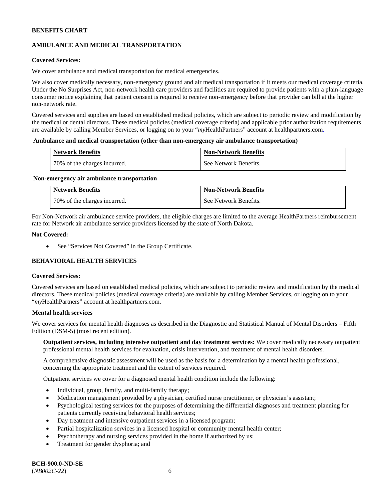# **AMBULANCE AND MEDICAL TRANSPORTATION**

# **Covered Services:**

We cover ambulance and medical transportation for medical emergencies.

We also cover medically necessary, non-emergency ground and air medical transportation if it meets our medical coverage criteria. Under the No Surprises Act, non-network health care providers and facilities are required to provide patients with a plain-language consumer notice explaining that patient consent is required to receive non-emergency before that provider can bill at the higher non-network rate.

Covered services and supplies are based on established medical policies, which are subject to periodic review and modification by the medical or dental directors. These medical policies (medical coverage criteria) and applicable prior authorization requirements are available by calling Member Services, or logging on to your "*my*HealthPartners" account a[t healthpartners.com.](http://www.healthpartners.com/)

#### **Ambulance and medical transportation (other than non-emergency air ambulance transportation)**

| <b>Network Benefits</b>      | <b>Non-Network Benefits</b> |
|------------------------------|-----------------------------|
| 70% of the charges incurred. | See Network Benefits.       |

#### **Non-emergency air ambulance transportation**

| <b>Network Benefits</b>      | <b>Non-Network Benefits</b> |
|------------------------------|-----------------------------|
| 70% of the charges incurred. | See Network Benefits.       |

For Non-Network air ambulance service providers, the eligible charges are limited to the average HealthPartners reimbursement rate for Network air ambulance service providers licensed by the state of North Dakota.

### **Not Covered:**

• See "Services Not Covered" in the Group Certificate.

# **BEHAVIORAL HEALTH SERVICES**

#### **Covered Services:**

Covered services are based on established medical policies, which are subject to periodic review and modification by the medical directors. These medical policies (medical coverage criteria) are available by calling Member Services, or logging on to your "*my*HealthPartners" account at [healthpartners.com.](http://healthpartners.com/)

### **Mental health services**

We cover services for mental health diagnoses as described in the Diagnostic and Statistical Manual of Mental Disorders - Fifth Edition (DSM-5) (most recent edition).

**Outpatient services, including intensive outpatient and day treatment services:** We cover medically necessary outpatient professional mental health services for evaluation, crisis intervention, and treatment of mental health disorders.

A comprehensive diagnostic assessment will be used as the basis for a determination by a mental health professional, concerning the appropriate treatment and the extent of services required.

Outpatient services we cover for a diagnosed mental health condition include the following:

- Individual, group, family, and multi-family therapy;
- Medication management provided by a physician, certified nurse practitioner, or physician's assistant;
- Psychological testing services for the purposes of determining the differential diagnoses and treatment planning for patients currently receiving behavioral health services;
- Day treatment and intensive outpatient services in a licensed program;
- Partial hospitalization services in a licensed hospital or community mental health center;
- Psychotherapy and nursing services provided in the home if authorized by us;
- Treatment for gender dysphoria; and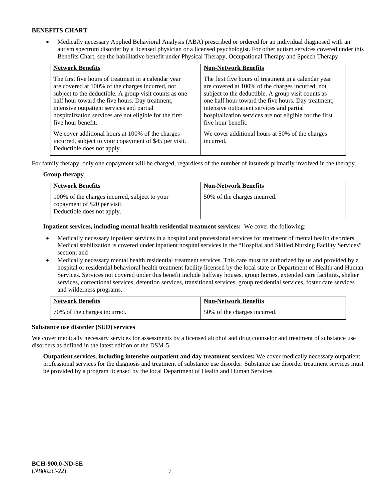• Medically necessary Applied Behavioral Analysis (ABA) prescribed or ordered for an individual diagnosed with an autism spectrum disorder by a licensed physician or a licensed psychologist. For other autism services covered under this Benefits Chart, see the habilitative benefit under Physical Therapy, Occupational Therapy and Speech Therapy.

| <b>Network Benefits</b>                                                                                                                                                                                                                                                                                                                             | <b>Non-Network Benefits</b>                                                                                                                                                                                                                                                                                                                         |
|-----------------------------------------------------------------------------------------------------------------------------------------------------------------------------------------------------------------------------------------------------------------------------------------------------------------------------------------------------|-----------------------------------------------------------------------------------------------------------------------------------------------------------------------------------------------------------------------------------------------------------------------------------------------------------------------------------------------------|
| The first five hours of treatment in a calendar year<br>are covered at 100% of the charges incurred, not<br>subject to the deductible. A group visit counts as one<br>half hour toward the five hours. Day treatment,<br>intensive outpatient services and partial<br>hospitalization services are not eligible for the first<br>five hour benefit. | The first five hours of treatment in a calendar year<br>are covered at 100% of the charges incurred, not<br>subject to the deductible. A group visit counts as<br>one half hour toward the five hours. Day treatment,<br>intensive outpatient services and partial<br>hospitalization services are not eligible for the first<br>five hour benefit. |
| We cover additional hours at 100% of the charges<br>incurred, subject to your copayment of \$45 per visit.<br>Deductible does not apply.                                                                                                                                                                                                            | We cover additional hours at 50% of the charges<br>incurred.                                                                                                                                                                                                                                                                                        |

For family therapy, only one copayment will be charged, regardless of the number of insureds primarily involved in the therapy.

# **Group therapy**

| <b>Network Benefits</b>                                                                                     | <b>Non-Network Benefits</b>  |
|-------------------------------------------------------------------------------------------------------------|------------------------------|
| 100% of the charges incurred, subject to your<br>copayment of \$20 per visit.<br>Deductible does not apply. | 50% of the charges incurred. |

**Inpatient services, including mental health residential treatment services:** We cover the following:

- Medically necessary inpatient services in a hospital and professional services for treatment of mental health disorders. Medical stabilization is covered under inpatient hospital services in the "Hospital and Skilled Nursing Facility Services" section; and
- Medically necessary mental health residential treatment services. This care must be authorized by us and provided by a hospital or residential behavioral health treatment facility licensed by the local state or Department of Health and Human Services. Services not covered under this benefit include halfway houses, group homes, extended care facilities, shelter services, correctional services, detention services, transitional services, group residential services, foster care services and wilderness programs.

| <b>Network Benefits</b>      | <b>Non-Network Benefits</b>  |
|------------------------------|------------------------------|
| 70% of the charges incurred. | 50% of the charges incurred. |

# **Substance use disorder (SUD) services**

We cover medically necessary services for assessments by a licensed alcohol and drug counselor and treatment of substance use disorders as defined in the latest edition of the DSM-5.

**Outpatient services, including intensive outpatient and day treatment services:** We cover medically necessary outpatient professional services for the diagnosis and treatment of substance use disorder. Substance use disorder treatment services must be provided by a program licensed by the local Department of Health and Human Services.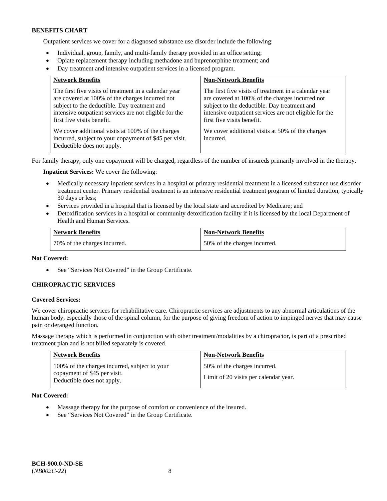Outpatient services we cover for a diagnosed substance use disorder include the following:

- Individual, group, family, and multi-family therapy provided in an office setting;
- Opiate replacement therapy including methadone and buprenorphine treatment; and
- Day treatment and intensive outpatient services in a licensed program.

| <b>Network Benefits</b>                                                                                                                                                                                                                          | <b>Non-Network Benefits</b>                                                                                                                                                                                                                      |
|--------------------------------------------------------------------------------------------------------------------------------------------------------------------------------------------------------------------------------------------------|--------------------------------------------------------------------------------------------------------------------------------------------------------------------------------------------------------------------------------------------------|
| The first five visits of treatment in a calendar year<br>are covered at 100% of the charges incurred not<br>subject to the deductible. Day treatment and<br>intensive outpatient services are not eligible for the<br>first five visits benefit. | The first five visits of treatment in a calendar year<br>are covered at 100% of the charges incurred not<br>subject to the deductible. Day treatment and<br>intensive outpatient services are not eligible for the<br>first five visits benefit. |
| We cover additional visits at 100% of the charges<br>incurred, subject to your copayment of \$45 per visit.<br>Deductible does not apply.                                                                                                        | We cover additional visits at 50% of the charges<br>incurred.                                                                                                                                                                                    |

For family therapy, only one copayment will be charged, regardless of the number of insureds primarily involved in the therapy.

**Inpatient Services:** We cover the following:

- Medically necessary inpatient services in a hospital or primary residential treatment in a licensed substance use disorder treatment center. Primary residential treatment is an intensive residential treatment program of limited duration, typically 30 days or less;
- Services provided in a hospital that is licensed by the local state and accredited by Medicare; and
- Detoxification services in a hospital or community detoxification facility if it is licensed by the local Department of Health and Human Services.

| <b>Network Benefits</b>      | <b>Non-Network Benefits</b>  |
|------------------------------|------------------------------|
| 70% of the charges incurred. | 50% of the charges incurred. |

# **Not Covered:**

• See "Services Not Covered" in the Group Certificate.

# **CHIROPRACTIC SERVICES**

#### **Covered Services:**

We cover chiropractic services for rehabilitative care. Chiropractic services are adjustments to any abnormal articulations of the human body, especially those of the spinal column, for the purpose of giving freedom of action to impinged nerves that may cause pain or deranged function.

Massage therapy which is performed in conjunction with other treatment/modalities by a chiropractor, is part of a prescribed treatment plan and is not billed separately is covered.

| <b>Network Benefits</b>                                                                                     | <b>Non-Network Benefits</b>                                           |
|-------------------------------------------------------------------------------------------------------------|-----------------------------------------------------------------------|
| 100% of the charges incurred, subject to your<br>copayment of \$45 per visit.<br>Deductible does not apply. | 50% of the charges incurred.<br>Limit of 20 visits per calendar year. |

**Not Covered:** 

- Massage therapy for the purpose of comfort or convenience of the insured.
- See "Services Not Covered" in the Group Certificate.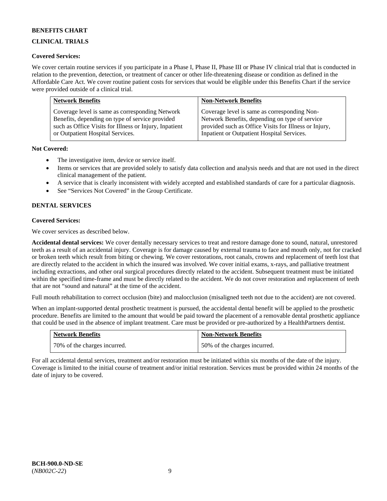# **CLINICAL TRIALS**

# **Covered Services:**

We cover certain routine services if you participate in a Phase I, Phase II, Phase III or Phase IV clinical trial that is conducted in relation to the prevention, detection, or treatment of cancer or other life-threatening disease or condition as defined in the Affordable Care Act. We cover routine patient costs for services that would be eligible under this Benefits Chart if the service were provided outside of a clinical trial.

| <b>Network Benefits</b>                                | <b>Non-Network Benefits</b>                           |
|--------------------------------------------------------|-------------------------------------------------------|
| Coverage level is same as corresponding Network        | Coverage level is same as corresponding Non-          |
| Benefits, depending on type of service provided        | Network Benefits, depending on type of service        |
| such as Office Visits for Illness or Injury, Inpatient | provided such as Office Visits for Illness or Injury, |
| or Outpatient Hospital Services.                       | Inpatient or Outpatient Hospital Services.            |

# **Not Covered:**

- The investigative item, device or service itself.
- Items or services that are provided solely to satisfy data collection and analysis needs and that are not used in the direct clinical management of the patient.
- A service that is clearly inconsistent with widely accepted and established standards of care for a particular diagnosis.
- See "Services Not Covered" in the Group Certificate.

# **DENTAL SERVICES**

# **Covered Services:**

We cover services as described below.

**Accidental dental services:** We cover dentally necessary services to treat and restore damage done to sound, natural, unrestored teeth as a result of an accidental injury. Coverage is for damage caused by external trauma to face and mouth only, not for cracked or broken teeth which result from biting or chewing. We cover restorations, root canals, crowns and replacement of teeth lost that are directly related to the accident in which the insured was involved. We cover initial exams, x-rays, and palliative treatment including extractions, and other oral surgical procedures directly related to the accident. Subsequent treatment must be initiated within the specified time-frame and must be directly related to the accident. We do not cover restoration and replacement of teeth that are not "sound and natural" at the time of the accident.

Full mouth rehabilitation to correct occlusion (bite) and malocclusion (misaligned teeth not due to the accident) are not covered.

When an implant-supported dental prosthetic treatment is pursued, the accidental dental benefit will be applied to the prosthetic procedure. Benefits are limited to the amount that would be paid toward the placement of a removable dental prosthetic appliance that could be used in the absence of implant treatment. Care must be provided or pre-authorized by a HealthPartners dentist.

| <b>Network Benefits</b>      | <b>Non-Network Benefits</b>  |
|------------------------------|------------------------------|
| 70% of the charges incurred. | 50% of the charges incurred. |

For all accidental dental services, treatment and/or restoration must be initiated within six months of the date of the injury. Coverage is limited to the initial course of treatment and/or initial restoration. Services must be provided within 24 months of the date of injury to be covered.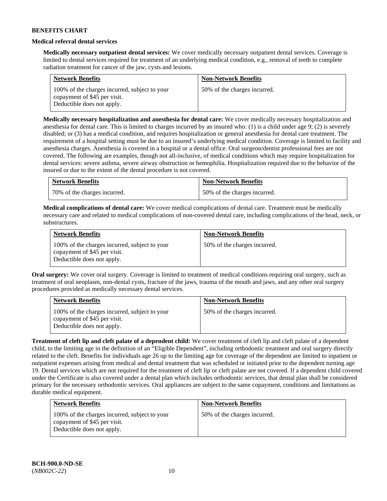### **Medical referral dental services**

**Medically necessary outpatient dental services:** We cover medically necessary outpatient dental services. Coverage is limited to dental services required for treatment of an underlying medical condition, e.g., removal of teeth to complete radiation treatment for cancer of the jaw, cysts and lesions.

| <b>Network Benefits</b>                                                                                     | <b>Non-Network Benefits</b>  |
|-------------------------------------------------------------------------------------------------------------|------------------------------|
| 100% of the charges incurred, subject to your<br>copayment of \$45 per visit.<br>Deductible does not apply. | 50% of the charges incurred. |

**Medically necessary hospitalization and anesthesia for dental care:** We cover medically necessary hospitalization and anesthesia for dental care. This is limited to charges incurred by an insured who: (1) is a child under age 9; (2) is severely disabled; or (3) has a medical condition, and requires hospitalization or general anesthesia for dental care treatment. The requirement of a hospital setting must be due to an insured's underlying medical condition. Coverage is limited to facility and anesthesia charges. Anesthesia is covered in a hospital or a dental office. Oral surgeon/dentist professional fees are not covered. The following are examples, though not all-inclusive, of medical conditions which may require hospitalization for dental services: severe asthma, severe airway obstruction or hemophilia. Hospitalization required due to the behavior of the insured or due to the extent of the dental procedure is not covered.

| <b>Network Benefits</b>      | <b>Non-Network Benefits</b>  |
|------------------------------|------------------------------|
| 70% of the charges incurred. | 50% of the charges incurred. |

**Medical complications of dental care:** We cover medical complications of dental care. Treatment must be medically necessary care and related to medical complications of non-covered dental care, including complications of the head, neck, or substructures.

| <b>Network Benefits</b>                                                                                     | <b>Non-Network Benefits</b>  |
|-------------------------------------------------------------------------------------------------------------|------------------------------|
| 100% of the charges incurred, subject to your<br>copayment of \$45 per visit.<br>Deductible does not apply. | 50% of the charges incurred. |

**Oral surgery:** We cover oral surgery. Coverage is limited to treatment of medical conditions requiring oral surgery, such as treatment of oral neoplasm, non-dental cysts, fracture of the jaws, trauma of the mouth and jaws, and any other oral surgery procedures provided as medically necessary dental services.

| <b>Network Benefits</b>                                                                                     | <b>Non-Network Benefits</b>  |
|-------------------------------------------------------------------------------------------------------------|------------------------------|
| 100% of the charges incurred, subject to your<br>copayment of \$45 per visit.<br>Deductible does not apply. | 50% of the charges incurred. |

**Treatment of cleft lip and cleft palate of a dependent child:** We cover treatment of cleft lip and cleft palate of a dependent child, to the limiting age in the definition of an "Eligible Dependent", including orthodontic treatment and oral surgery directly related to the cleft. Benefits for individuals age 26 up to the limiting age for coverage of the dependent are limited to inpatient or outpatient expenses arising from medical and dental treatment that was scheduled or initiated prior to the dependent turning age 19. Dental services which are not required for the treatment of cleft lip or cleft palate are not covered. If a dependent child covered under the Certificate is also covered under a dental plan which includes orthodontic services, that dental plan shall be considered primary for the necessary orthodontic services. Oral appliances are subject to the same copayment, conditions and limitations as durable medical equipment.

| <b>Network Benefits</b>                                                                                     | <b>Non-Network Benefits</b>  |
|-------------------------------------------------------------------------------------------------------------|------------------------------|
| 100% of the charges incurred, subject to your<br>copayment of \$45 per visit.<br>Deductible does not apply. | 50% of the charges incurred. |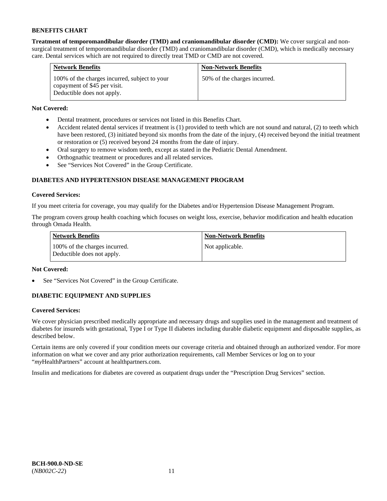**Treatment of temporomandibular disorder (TMD) and craniomandibular disorder (CMD):** We cover surgical and nonsurgical treatment of temporomandibular disorder (TMD) and craniomandibular disorder (CMD), which is medically necessary care. Dental services which are not required to directly treat TMD or CMD are not covered.

| <b>Network Benefits</b>                                                                                     | <b>Non-Network Benefits</b>  |
|-------------------------------------------------------------------------------------------------------------|------------------------------|
| 100% of the charges incurred, subject to your<br>copayment of \$45 per visit.<br>Deductible does not apply. | 50% of the charges incurred. |

# **Not Covered:**

- Dental treatment, procedures or services not listed in this Benefits Chart.
- Accident related dental services if treatment is (1) provided to teeth which are not sound and natural, (2) to teeth which have been restored, (3) initiated beyond six months from the date of the injury, (4) received beyond the initial treatment or restoration or (5) received beyond 24 months from the date of injury.
- Oral surgery to remove wisdom teeth, except as stated in the Pediatric Dental Amendment.
- Orthognathic treatment or procedures and all related services.
- See "Services Not Covered" in the Group Certificate.

# **DIABETES AND HYPERTENSION DISEASE MANAGEMENT PROGRAM**

# **Covered Services:**

If you meet criteria for coverage, you may qualify for the Diabetes and/or Hypertension Disease Management Program.

The program covers group health coaching which focuses on weight loss, exercise, behavior modification and health education through Omada Health.

| <b>Network Benefits</b>                                     | <b>Non-Network Benefits</b> |
|-------------------------------------------------------------|-----------------------------|
| 100% of the charges incurred.<br>Deductible does not apply. | Not applicable.             |

# **Not Covered:**

See "Services Not Covered" in the Group Certificate.

# **DIABETIC EQUIPMENT AND SUPPLIES**

# **Covered Services:**

We cover physician prescribed medically appropriate and necessary drugs and supplies used in the management and treatment of diabetes for insureds with gestational, Type I or Type II diabetes including durable diabetic equipment and disposable supplies, as described below.

Certain items are only covered if your condition meets our coverage criteria and obtained through an authorized vendor. For more information on what we cover and any prior authorization requirements, call Member Services or log on to your "*my*HealthPartners" account at [healthpartners.com.](http://www.healthpartners.com/)

Insulin and medications for diabetes are covered as outpatient drugs under the "Prescription Drug Services" section.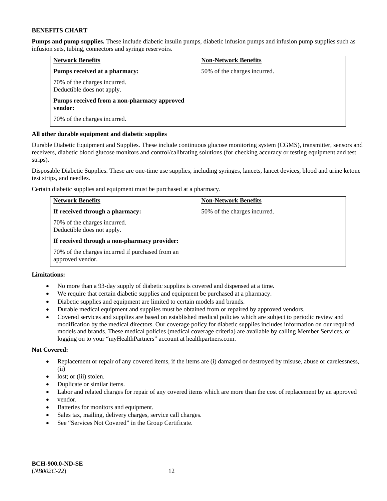**Pumps and pump supplies.** These include diabetic insulin pumps, diabetic infusion pumps and infusion pump supplies such as infusion sets, tubing, connectors and syringe reservoirs.

| <b>Network Benefits</b>                                    | <b>Non-Network Benefits</b>  |
|------------------------------------------------------------|------------------------------|
| Pumps received at a pharmacy:                              | 50% of the charges incurred. |
| 70% of the charges incurred.<br>Deductible does not apply. |                              |
| Pumps received from a non-pharmacy approved<br>vendor:     |                              |
| 70% of the charges incurred.                               |                              |

# **All other durable equipment and diabetic supplies**

Durable Diabetic Equipment and Supplies. These include continuous glucose monitoring system (CGMS), transmitter, sensors and receivers, diabetic blood glucose monitors and control/calibrating solutions (for checking accuracy or testing equipment and test strips).

Disposable Diabetic Supplies. These are one-time use supplies, including syringes, lancets, lancet devices, blood and urine ketone test strips, and needles.

Certain diabetic supplies and equipment must be purchased at a pharmacy.

| <b>Network Benefits</b>                                              | <b>Non-Network Benefits</b>  |
|----------------------------------------------------------------------|------------------------------|
| If received through a pharmacy:                                      | 50% of the charges incurred. |
| 70% of the charges incurred.<br>Deductible does not apply.           |                              |
| If received through a non-pharmacy provider:                         |                              |
| 70% of the charges incurred if purchased from an<br>approved vendor. |                              |

# **Limitations:**

- No more than a 93-day supply of diabetic supplies is covered and dispensed at a time.
- We require that certain diabetic supplies and equipment be purchased at a pharmacy.
- Diabetic supplies and equipment are limited to certain models and brands.
- Durable medical equipment and supplies must be obtained from or repaired by approved vendors.
- Covered services and supplies are based on established medical policies which are subject to periodic review and modification by the medical directors. Our coverage policy for diabetic supplies includes information on our required models and brands. These medical policies (medical coverage criteria) are available by calling Member Services, or logging on to your "myHealthPartners" account a[t healthpartners.com.](http://www.healthpartners.com/)

# **Not Covered:**

- Replacement or repair of any covered items, if the items are (i) damaged or destroyed by misuse, abuse or carelessness, (ii)
- lost; or (iii) stolen.
- Duplicate or similar items.
- Labor and related charges for repair of any covered items which are more than the cost of replacement by an approved
- vendor.
- Batteries for monitors and equipment.
- Sales tax, mailing, delivery charges, service call charges.
- See "Services Not Covered" in the Group Certificate.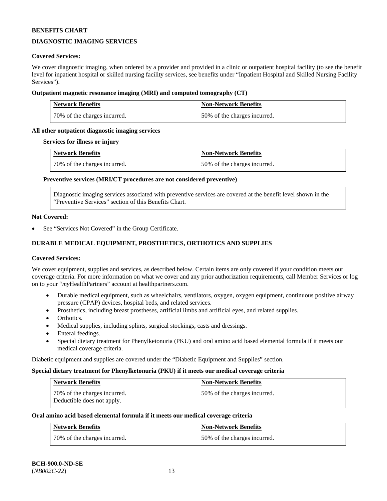# **DIAGNOSTIC IMAGING SERVICES**

### **Covered Services:**

We cover diagnostic imaging, when ordered by a provider and provided in a clinic or outpatient hospital facility (to see the benefit level for inpatient hospital or skilled nursing facility services, see benefits under "Inpatient Hospital and Skilled Nursing Facility Services").

### **Outpatient magnetic resonance imaging (MRI) and computed tomography (CT)**

| <b>Network Benefits</b>      | <b>Non-Network Benefits</b>  |
|------------------------------|------------------------------|
| 70% of the charges incurred. | 50% of the charges incurred. |

# **All other outpatient diagnostic imaging services**

#### **Services for illness or injury**

| <b>Network Benefits</b>      | <b>Non-Network Benefits</b>  |
|------------------------------|------------------------------|
| 70% of the charges incurred. | 50% of the charges incurred. |

### **Preventive services (MRI/CT procedures are not considered preventive)**

Diagnostic imaging services associated with preventive services are covered at the benefit level shown in the "Preventive Services" section of this Benefits Chart.

#### **Not Covered:**

See "Services Not Covered" in the Group Certificate.

# **DURABLE MEDICAL EQUIPMENT, PROSTHETICS, ORTHOTICS AND SUPPLIES**

#### **Covered Services:**

We cover equipment, supplies and services, as described below. Certain items are only covered if your condition meets our coverage criteria. For more information on what we cover and any prior authorization requirements, call Member Services or log on to your "*my*HealthPartners" account at [healthpartners.com.](http://www.healthpartners.com/)

- Durable medical equipment, such as wheelchairs, ventilators, oxygen, oxygen equipment, continuous positive airway pressure (CPAP) devices, hospital beds, and related services.
- Prosthetics, including breast prostheses, artificial limbs and artificial eyes, and related supplies.
- Orthotics.
- Medical supplies, including splints, surgical stockings, casts and dressings.
- Enteral feedings.
- Special dietary treatment for Phenylketonuria (PKU) and oral amino acid based elemental formula if it meets our medical coverage criteria.

Diabetic equipment and supplies are covered under the "Diabetic Equipment and Supplies" section.

#### **Special dietary treatment for Phenylketonuria (PKU) if it meets our medical coverage criteria**

| <b>Network Benefits</b>                                    | <b>Non-Network Benefits</b>  |
|------------------------------------------------------------|------------------------------|
| 70% of the charges incurred.<br>Deductible does not apply. | 50% of the charges incurred. |

#### **Oral amino acid based elemental formula if it meets our medical coverage criteria**

| <b>Network Benefits</b>      | <b>Non-Network Benefits</b>  |
|------------------------------|------------------------------|
| 70% of the charges incurred. | 50% of the charges incurred. |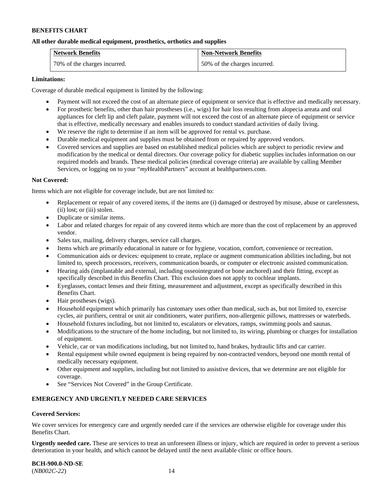### **All other durable medical equipment, prosthetics, orthotics and supplies**

| <b>Network Benefits</b>      | <b>Non-Network Benefits</b>  |
|------------------------------|------------------------------|
| 70% of the charges incurred. | 50% of the charges incurred. |

### **Limitations:**

Coverage of durable medical equipment is limited by the following:

- Payment will not exceed the cost of an alternate piece of equipment or service that is effective and medically necessary.
- For prosthetic benefits, other than hair prostheses (i.e., wigs) for hair loss resulting from alopecia areata and oral appliances for cleft lip and cleft palate, payment will not exceed the cost of an alternate piece of equipment or service that is effective, medically necessary and enables insureds to conduct standard activities of daily living.
- We reserve the right to determine if an item will be approved for rental vs. purchase.
- Durable medical equipment and supplies must be obtained from or repaired by approved vendors.
- Covered services and supplies are based on established medical policies which are subject to periodic review and modification by the medical or dental directors. Our coverage policy for diabetic supplies includes information on our required models and brands. These medical policies (medical coverage criteria) are available by calling Member Services, or logging on to your "*my*HealthPartners" account at [healthpartners.com.](http://www.healthpartners.com/)

### **Not Covered:**

Items which are not eligible for coverage include, but are not limited to:

- Replacement or repair of any covered items, if the items are (i) damaged or destroyed by misuse, abuse or carelessness, (ii) lost; or (iii) stolen.
- Duplicate or similar items.
- Labor and related charges for repair of any covered items which are more than the cost of replacement by an approved vendor.
- Sales tax, mailing, delivery charges, service call charges.
- Items which are primarily educational in nature or for hygiene, vocation, comfort, convenience or recreation.
- Communication aids or devices: equipment to create, replace or augment communication abilities including, but not limited to, speech processors, receivers, communication boards, or computer or electronic assisted communication.
- Hearing aids (implantable and external, including osseointegrated or bone anchored) and their fitting, except as specifically described in this Benefits Chart. This exclusion does not apply to cochlear implants.
- Eyeglasses, contact lenses and their fitting, measurement and adjustment, except as specifically described in this Benefits Chart.
- Hair prostheses (wigs).
- Household equipment which primarily has customary uses other than medical, such as, but not limited to, exercise cycles, air purifiers, central or unit air conditioners, water purifiers, non-allergenic pillows, mattresses or waterbeds.
- Household fixtures including, but not limited to, escalators or elevators, ramps, swimming pools and saunas.
- Modifications to the structure of the home including, but not limited to, its wiring, plumbing or charges for installation of equipment.
- Vehicle, car or van modifications including, but not limited to, hand brakes, hydraulic lifts and car carrier.
- Rental equipment while owned equipment is being repaired by non-contracted vendors, beyond one month rental of medically necessary equipment.
- Other equipment and supplies, including but not limited to assistive devices, that we determine are not eligible for coverage.
- See "Services Not Covered" in the Group Certificate.

# **EMERGENCY AND URGENTLY NEEDED CARE SERVICES**

# **Covered Services:**

We cover services for emergency care and urgently needed care if the services are otherwise eligible for coverage under this Benefits Chart.

**Urgently needed care.** These are services to treat an unforeseen illness or injury, which are required in order to prevent a serious deterioration in your health, and which cannot be delayed until the next available clinic or office hours.

**BCH-900.0-ND-SE** (*NB002C-22*) 14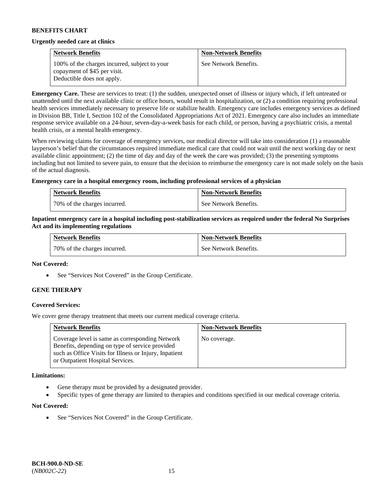### **Urgently needed care at clinics**

| <b>Network Benefits</b>                                                       | <b>Non-Network Benefits</b> |
|-------------------------------------------------------------------------------|-----------------------------|
| 100% of the charges incurred, subject to your<br>copayment of \$45 per visit. | See Network Benefits.       |
| Deductible does not apply.                                                    |                             |

**Emergency Care.** These are services to treat: (1) the sudden, unexpected onset of illness or injury which, if left untreated or unattended until the next available clinic or office hours, would result in hospitalization, or (2) a condition requiring professional health services immediately necessary to preserve life or stabilize health. Emergency care includes emergency services as defined in Division BB, Title I, Section 102 of the Consolidated Appropriations Act of 2021. Emergency care also includes an immediate response service available on a 24-hour, seven-day-a-week basis for each child, or person, having a psychiatric crisis, a mental health crisis, or a mental health emergency.

When reviewing claims for coverage of emergency services, our medical director will take into consideration (1) a reasonable layperson's belief that the circumstances required immediate medical care that could not wait until the next working day or next available clinic appointment; (2) the time of day and day of the week the care was provided; (3) the presenting symptoms including but not limited to severe pain, to ensure that the decision to reimburse the emergency care is not made solely on the basis of the actual diagnosis.

### **Emergency care in a hospital emergency room, including professional services of a physician**

| <b>Network Benefits</b>        | <b>Non-Network Benefits</b> |
|--------------------------------|-----------------------------|
| 1 70% of the charges incurred. | See Network Benefits.       |

### **Inpatient emergency care in a hospital including post-stabilization services as required under the federal No Surprises Act and its implementing regulations**

| <b>Network Benefits</b>      | <b>Non-Network Benefits</b> |
|------------------------------|-----------------------------|
| 70% of the charges incurred. | See Network Benefits.       |

#### **Not Covered:**

• See "Services Not Covered" in the Group Certificate.

# **GENE THERAPY**

# **Covered Services:**

We cover gene therapy treatment that meets our current medical coverage criteria.

| <b>Network Benefits</b>                                                                                                                                                                          | <b>Non-Network Benefits</b> |
|--------------------------------------------------------------------------------------------------------------------------------------------------------------------------------------------------|-----------------------------|
| Coverage level is same as corresponding Network<br>Benefits, depending on type of service provided<br>such as Office Visits for Illness or Injury, Inpatient<br>or Outpatient Hospital Services. | No coverage.                |

#### **Limitations:**

- Gene therapy must be provided by a designated provider.
- Specific types of gene therapy are limited to therapies and conditions specified in our medical coverage criteria.

#### **Not Covered:**

See "Services Not Covered" in the Group Certificate.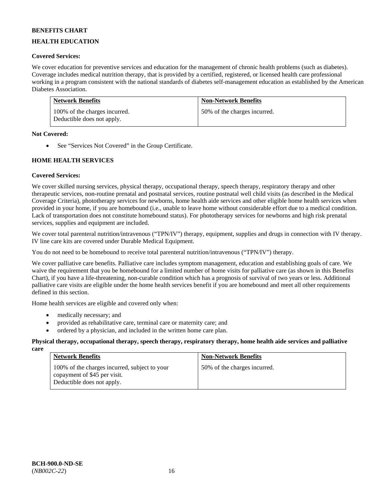# **HEALTH EDUCATION**

# **Covered Services:**

We cover education for preventive services and education for the management of chronic health problems (such as diabetes). Coverage includes medical nutrition therapy, that is provided by a certified, registered, or licensed health care professional working in a program consistent with the national standards of diabetes self-management education as established by the American Diabetes Association.

| <b>Network Benefits</b>                                     | <b>Non-Network Benefits</b>  |
|-------------------------------------------------------------|------------------------------|
| 100% of the charges incurred.<br>Deductible does not apply. | 50% of the charges incurred. |

### **Not Covered:**

• See "Services Not Covered" in the Group Certificate.

# **HOME HEALTH SERVICES**

# **Covered Services:**

We cover skilled nursing services, physical therapy, occupational therapy, speech therapy, respiratory therapy and other therapeutic services, non-routine prenatal and postnatal services, routine postnatal well child visits (as described in the Medical Coverage Criteria), phototherapy services for newborns, home health aide services and other eligible home health services when provided in your home, if you are homebound (i.e., unable to leave home without considerable effort due to a medical condition. Lack of transportation does not constitute homebound status). For phototherapy services for newborns and high risk prenatal services, supplies and equipment are included.

We cover total parenteral nutrition/intravenous ("TPN/IV") therapy, equipment, supplies and drugs in connection with IV therapy. IV line care kits are covered under Durable Medical Equipment.

You do not need to be homebound to receive total parenteral nutrition/intravenous ("TPN/IV") therapy.

We cover palliative care benefits. Palliative care includes symptom management, education and establishing goals of care. We waive the requirement that you be homebound for a limited number of home visits for palliative care (as shown in this Benefits Chart), if you have a life-threatening, non-curable condition which has a prognosis of survival of two years or less. Additional palliative care visits are eligible under the home health services benefit if you are homebound and meet all other requirements defined in this section.

Home health services are eligible and covered only when:

- medically necessary; and
- provided as rehabilitative care, terminal care or maternity care; and
- ordered by a physician, and included in the written home care plan.

#### **Physical therapy, occupational therapy, speech therapy, respiratory therapy, home health aide services and palliative care**

| <b>Network Benefits</b>                                                                                     | <b>Non-Network Benefits</b>  |
|-------------------------------------------------------------------------------------------------------------|------------------------------|
| 100% of the charges incurred, subject to your<br>copayment of \$45 per visit.<br>Deductible does not apply. | 50% of the charges incurred. |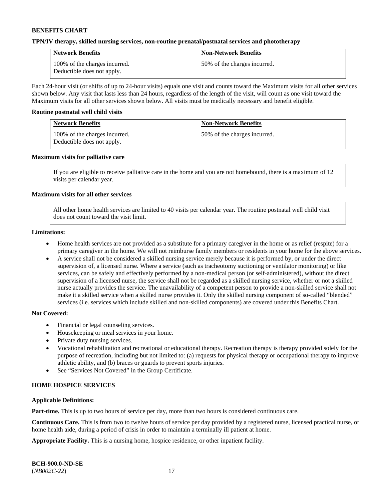### **TPN/IV therapy, skilled nursing services, non-routine prenatal/postnatal services and phototherapy**

| <b>Network Benefits</b>                                     | <b>Non-Network Benefits</b>  |
|-------------------------------------------------------------|------------------------------|
| 100% of the charges incurred.<br>Deductible does not apply. | 50% of the charges incurred. |

Each 24-hour visit (or shifts of up to 24-hour visits) equals one visit and counts toward the Maximum visits for all other services shown below. Any visit that lasts less than 24 hours, regardless of the length of the visit, will count as one visit toward the Maximum visits for all other services shown below. All visits must be medically necessary and benefit eligible.

#### **Routine postnatal well child visits**

| <b>Network Benefits</b>                                     | <b>Non-Network Benefits</b>  |
|-------------------------------------------------------------|------------------------------|
| 100% of the charges incurred.<br>Deductible does not apply. | 50% of the charges incurred. |

### **Maximum visits for palliative care**

If you are eligible to receive palliative care in the home and you are not homebound, there is a maximum of 12 visits per calendar year.

### **Maximum visits for all other services**

All other home health services are limited to 40 visits per calendar year. The routine postnatal well child visit does not count toward the visit limit.

#### **Limitations:**

- Home health services are not provided as a substitute for a primary caregiver in the home or as relief (respite) for a primary caregiver in the home. We will not reimburse family members or residents in your home for the above services.
- A service shall not be considered a skilled nursing service merely because it is performed by, or under the direct supervision of, a licensed nurse. Where a service (such as tracheotomy suctioning or ventilator monitoring) or like services, can be safely and effectively performed by a non-medical person (or self-administered), without the direct supervision of a licensed nurse, the service shall not be regarded as a skilled nursing service, whether or not a skilled nurse actually provides the service. The unavailability of a competent person to provide a non-skilled service shall not make it a skilled service when a skilled nurse provides it. Only the skilled nursing component of so-called "blended" services (i.e. services which include skilled and non-skilled components) are covered under this Benefits Chart.

#### **Not Covered:**

- Financial or legal counseling services.
- Housekeeping or meal services in your home.
- Private duty nursing services.
- Vocational rehabilitation and recreational or educational therapy. Recreation therapy is therapy provided solely for the purpose of recreation, including but not limited to: (a) requests for physical therapy or occupational therapy to improve athletic ability, and (b) braces or guards to prevent sports injuries.
- See "Services Not Covered" in the Group Certificate.

# **HOME HOSPICE SERVICES**

#### **Applicable Definitions:**

**Part-time.** This is up to two hours of service per day, more than two hours is considered continuous care.

**Continuous Care.** This is from two to twelve hours of service per day provided by a registered nurse, licensed practical nurse, or home health aide, during a period of crisis in order to maintain a terminally ill patient at home.

**Appropriate Facility.** This is a nursing home, hospice residence, or other inpatient facility.

| <b>BCH-900.0-ND-SE</b> |  |
|------------------------|--|
| $(NB002C-22)$          |  |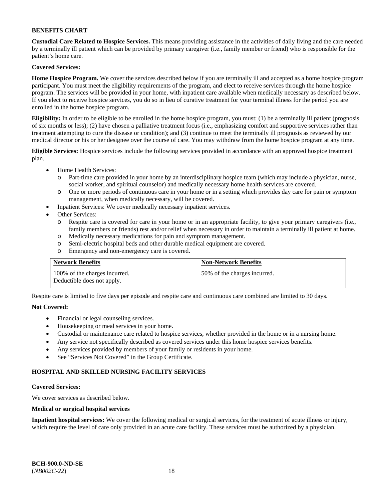**Custodial Care Related to Hospice Services.** This means providing assistance in the activities of daily living and the care needed by a terminally ill patient which can be provided by primary caregiver (i.e., family member or friend) who is responsible for the patient's home care.

# **Covered Services:**

**Home Hospice Program.** We cover the services described below if you are terminally ill and accepted as a home hospice program participant. You must meet the eligibility requirements of the program, and elect to receive services through the home hospice program. The services will be provided in your home, with inpatient care available when medically necessary as described below. If you elect to receive hospice services, you do so in lieu of curative treatment for your terminal illness for the period you are enrolled in the home hospice program.

**Eligibility:** In order to be eligible to be enrolled in the home hospice program, you must: (1) be a terminally ill patient (prognosis of six months or less); (2) have chosen a palliative treatment focus (i.e., emphasizing comfort and supportive services rather than treatment attempting to cure the disease or condition); and (3) continue to meet the terminally ill prognosis as reviewed by our medical director or his or her designee over the course of care. You may withdraw from the home hospice program at any time.

**Eligible Services:** Hospice services include the following services provided in accordance with an approved hospice treatment plan.

- Home Health Services:
	- o Part-time care provided in your home by an interdisciplinary hospice team (which may include a physician, nurse, social worker, and spiritual counselor) and medically necessary home health services are covered.
	- o One or more periods of continuous care in your home or in a setting which provides day care for pain or symptom management, when medically necessary, will be covered.
	- Inpatient Services: We cover medically necessary inpatient services.
- Other Services:
	- o Respite care is covered for care in your home or in an appropriate facility, to give your primary caregivers (i.e., family members or friends) rest and/or relief when necessary in order to maintain a terminally ill patient at home.
	- o Medically necessary medications for pain and symptom management.
	- o Semi-electric hospital beds and other durable medical equipment are covered.
	- o Emergency and non-emergency care is covered.

| <b>Network Benefits</b>                                     | <b>Non-Network Benefits</b>  |
|-------------------------------------------------------------|------------------------------|
| 100% of the charges incurred.<br>Deductible does not apply. | 50% of the charges incurred. |

Respite care is limited to five days per episode and respite care and continuous care combined are limited to 30 days.

# **Not Covered:**

- Financial or legal counseling services.
- Housekeeping or meal services in your home.
- Custodial or maintenance care related to hospice services, whether provided in the home or in a nursing home.
- Any service not specifically described as covered services under this home hospice services benefits.
- Any services provided by members of your family or residents in your home.
- See "Services Not Covered" in the Group Certificate.

# **HOSPITAL AND SKILLED NURSING FACILITY SERVICES**

#### **Covered Services:**

We cover services as described below.

#### **Medical or surgical hospital services**

**Inpatient hospital services:** We cover the following medical or surgical services, for the treatment of acute illness or injury, which require the level of care only provided in an acute care facility. These services must be authorized by a physician.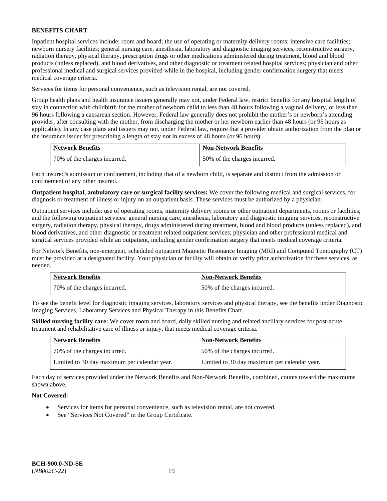Inpatient hospital services include: room and board; the use of operating or maternity delivery rooms; intensive care facilities; newborn nursery facilities; general nursing care, anesthesia, laboratory and diagnostic imaging services, reconstructive surgery, radiation therapy, physical therapy, prescription drugs or other medications administered during treatment, blood and blood products (unless replaced), and blood derivatives, and other diagnostic or treatment related hospital services; physician and other professional medical and surgical services provided while in the hospital, including gender confirmation surgery that meets medical coverage criteria.

Services for items for personal convenience, such as television rental, are not covered.

Group health plans and health insurance issuers generally may not, under Federal law, restrict benefits for any hospital length of stay in connection with childbirth for the mother of newborn child to less than 48 hours following a vaginal delivery, or less than 96 hours following a caesarean section. However, Federal law generally does not prohibit the mother's or newborn's attending provider, after consulting with the mother, from discharging the mother or her newborn earlier than 48 hours (or 96 hours as applicable). In any case plans and issuers may not, under Federal law, require that a provider obtain authorization from the plan or the insurance issuer for prescribing a length of stay not in excess of 48 hours (or 96 hours).

| <b>Network Benefits</b>      | <b>Non-Network Benefits</b>  |
|------------------------------|------------------------------|
| 70% of the charges incurred. | 50% of the charges incurred. |

Each insured's admission or confinement, including that of a newborn child, is separate and distinct from the admission or confinement of any other insured.

**Outpatient hospital, ambulatory care or surgical facility services:** We cover the following medical and surgical services, for diagnosis or treatment of illness or injury on an outpatient basis. These services must be authorized by a physician.

Outpatient services include: use of operating rooms, maternity delivery rooms or other outpatient departments, rooms or facilities; and the following outpatient services: general nursing care, anesthesia, laboratory and diagnostic imaging services, reconstructive surgery, radiation therapy, physical therapy, drugs administered during treatment, blood and blood products (unless replaced), and blood derivatives, and other diagnostic or treatment related outpatient services; physician and other professional medical and surgical services provided while an outpatient, including gender confirmation surgery that meets medical coverage criteria.

For Network Benefits, non-emergent, scheduled outpatient Magnetic Resonance Imaging (MRI) and Computed Tomography (CT) must be provided at a designated facility. Your physician or facility will obtain or verify prior authorization for these services, as needed.

| <b>Network Benefits</b>      | <b>Non-Network Benefits</b>  |
|------------------------------|------------------------------|
| 70% of the charges incurred. | 50% of the charges incurred. |

To see the benefit level for diagnostic imaging services, laboratory services and physical therapy, see the benefits under Diagnostic Imaging Services, Laboratory Services and Physical Therapy in this Benefits Chart.

**Skilled nursing facility care:** We cover room and board, daily skilled nursing and related ancillary services for post-acute treatment and rehabilitative care of illness or injury, that meets medical coverage criteria.

| <b>Network Benefits</b>                      | <b>Non-Network Benefits</b>                  |
|----------------------------------------------|----------------------------------------------|
| 70% of the charges incurred.                 | 50% of the charges incurred.                 |
| Limited to 30 day maximum per calendar year. | Limited to 30 day maximum per calendar year. |

Each day of services provided under the Network Benefits and Non-Network Benefits, combined, counts toward the maximums shown above.

# **Not Covered:**

- Services for items for personal convenience, such as television rental, are not covered.
- See "Services Not Covered" in the Group Certificate.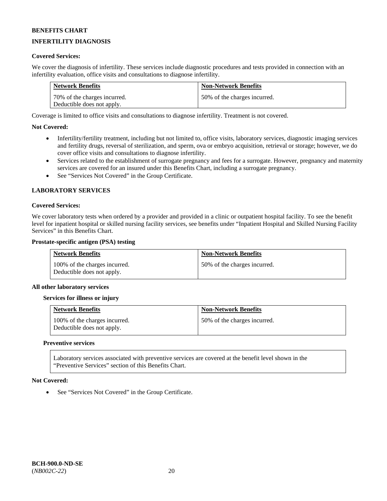# **INFERTILITY DIAGNOSIS**

### **Covered Services:**

We cover the diagnosis of infertility. These services include diagnostic procedures and tests provided in connection with an infertility evaluation, office visits and consultations to diagnose infertility.

| <b>Network Benefits</b>      | <b>Non-Network Benefits</b>  |
|------------------------------|------------------------------|
| 70% of the charges incurred. | 50% of the charges incurred. |
| Deductible does not apply.   |                              |

Coverage is limited to office visits and consultations to diagnose infertility. Treatment is not covered.

### **Not Covered:**

- Infertility/fertility treatment, including but not limited to, office visits, laboratory services, diagnostic imaging services and fertility drugs, reversal of sterilization, and sperm, ova or embryo acquisition, retrieval or storage; however, we do cover office visits and consultations to diagnose infertility.
- Services related to the establishment of surrogate pregnancy and fees for a surrogate. However, pregnancy and maternity services are covered for an insured under this Benefits Chart, including a surrogate pregnancy.
- See "Services Not Covered" in the Group Certificate.

### **LABORATORY SERVICES**

### **Covered Services:**

We cover laboratory tests when ordered by a provider and provided in a clinic or outpatient hospital facility. To see the benefit level for inpatient hospital or skilled nursing facility services, see benefits under "Inpatient Hospital and Skilled Nursing Facility Services" in this Benefits Chart.

#### **Prostate-specific antigen (PSA) testing**

| <b>Network Benefits</b>                                     | <b>Non-Network Benefits</b>  |
|-------------------------------------------------------------|------------------------------|
| 100% of the charges incurred.<br>Deductible does not apply. | 50% of the charges incurred. |

#### **All other laboratory services**

#### **Services for illness or injury**

| <b>Network Benefits</b>                                     | <b>Non-Network Benefits</b>  |
|-------------------------------------------------------------|------------------------------|
| 100% of the charges incurred.<br>Deductible does not apply. | 50% of the charges incurred. |

#### **Preventive services**

Laboratory services associated with preventive services are covered at the benefit level shown in the "Preventive Services" section of this Benefits Chart.

#### **Not Covered:**

See "Services Not Covered" in the Group Certificate.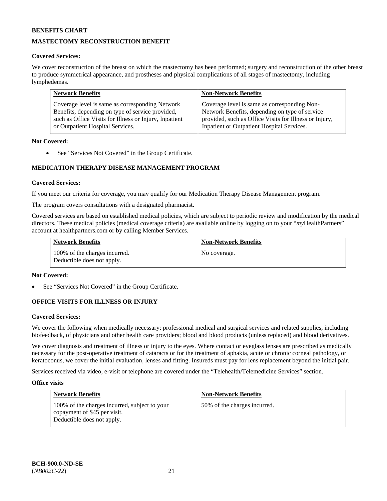# **MASTECTOMY RECONSTRUCTION BENEFIT**

### **Covered Services:**

We cover reconstruction of the breast on which the mastectomy has been performed; surgery and reconstruction of the other breast to produce symmetrical appearance, and prostheses and physical complications of all stages of mastectomy, including lymphedemas.

| <b>Network Benefits</b>                                | <b>Non-Network Benefits</b>                            |
|--------------------------------------------------------|--------------------------------------------------------|
| Coverage level is same as corresponding Network        | Coverage level is same as corresponding Non-           |
| Benefits, depending on type of service provided,       | Network Benefits, depending on type of service         |
| such as Office Visits for Illness or Injury, Inpatient | provided, such as Office Visits for Illness or Injury, |
| or Outpatient Hospital Services.                       | Inpatient or Outpatient Hospital Services.             |

### **Not Covered:**

• See "Services Not Covered" in the Group Certificate.

# **MEDICATION THERAPY DISEASE MANAGEMENT PROGRAM**

### **Covered Services:**

If you meet our criteria for coverage, you may qualify for our Medication Therapy Disease Management program.

The program covers consultations with a designated pharmacist.

Covered services are based on established medical policies, which are subject to periodic review and modification by the medical directors. These medical policies (medical coverage criteria) are available online by logging on to your "*my*HealthPartners" account a[t healthpartners.com](http://www.healthpartners.com/) or by calling Member Services.

| <b>Network Benefits</b>                                     | <b>Non-Network Benefits</b> |
|-------------------------------------------------------------|-----------------------------|
| 100% of the charges incurred.<br>Deductible does not apply. | No coverage.                |

#### **Not Covered:**

See "Services Not Covered" in the Group Certificate.

# **OFFICE VISITS FOR ILLNESS OR INJURY**

#### **Covered Services:**

We cover the following when medically necessary: professional medical and surgical services and related supplies, including biofeedback, of physicians and other health care providers; blood and blood products (unless replaced) and blood derivatives.

We cover diagnosis and treatment of illness or injury to the eyes. Where contact or eyeglass lenses are prescribed as medically necessary for the post-operative treatment of cataracts or for the treatment of aphakia, acute or chronic corneal pathology, or keratoconus, we cover the initial evaluation, lenses and fitting. Insureds must pay for lens replacement beyond the initial pair.

Services received via video, e-visit or telephone are covered under the "Telehealth/Telemedicine Services" section.

#### **Office visits**

| <b>Network Benefits</b>                                                                                     | <b>Non-Network Benefits</b>  |
|-------------------------------------------------------------------------------------------------------------|------------------------------|
| 100% of the charges incurred, subject to your<br>copayment of \$45 per visit.<br>Deductible does not apply. | 50% of the charges incurred. |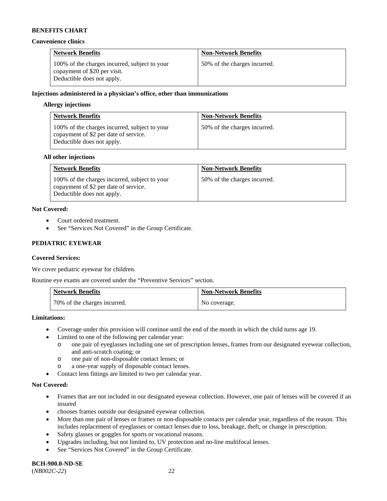#### **Convenience clinics**

| <b>Network Benefits</b>                                                                                     | <b>Non-Network Benefits</b>  |
|-------------------------------------------------------------------------------------------------------------|------------------------------|
| 100% of the charges incurred, subject to your<br>copayment of \$20 per visit.<br>Deductible does not apply. | 50% of the charges incurred. |

### **Injections administered in a physician's office, other than immunizations**

### **Allergy injections**

| <b>Network Benefits</b>                                                                                              | <b>Non-Network Benefits</b>  |
|----------------------------------------------------------------------------------------------------------------------|------------------------------|
| 100% of the charges incurred, subject to your<br>copayment of \$2 per date of service.<br>Deductible does not apply. | 50% of the charges incurred. |

#### **All other injections**

| <b>Network Benefits</b>                                                                                              | <b>Non-Network Benefits</b>  |
|----------------------------------------------------------------------------------------------------------------------|------------------------------|
| 100% of the charges incurred, subject to your<br>copayment of \$2 per date of service.<br>Deductible does not apply. | 50% of the charges incurred. |

# **Not Covered:**

- Court ordered treatment.
- See "Services Not Covered" in the Group Certificate.

# **PEDIATRIC EYEWEAR**

# **Covered Services:**

We cover pediatric eyewear for children.

Routine eye exams are covered under the "Preventive Services" section.

| <b>Network Benefits</b>      | <b>Non-Network Benefits</b> |
|------------------------------|-----------------------------|
| 70% of the charges incurred. | No coverage.                |

#### **Limitations:**

- Coverage under this provision will continue until the end of the month in which the child turns age 19.
- Limited to one of the following per calendar year:
	- o one pair of eyeglasses including one set of prescription lenses, frames from our designated eyewear collection, and anti-scratch coating; or
	- o one pair of non-disposable contact lenses; or
	- o a one-year supply of disposable contact lenses.
- Contact lens fittings are limited to two per calendar year.

#### **Not Covered:**

- Frames that are not included in our designated eyewear collection. However, one pair of lenses will be covered if an insured
- chooses frames outside our designated eyewear collection.
- More than one pair of lenses or frames or non-disposable contacts per calendar year, regardless of the reason. This includes replacement of eyeglasses or contact lenses due to loss, breakage, theft, or change in prescription.
- Safety glasses or goggles for sports or vocational reasons.
- Upgrades including, but not limited to, UV protection and no-line multifocal lenses.
- See "Services Not Covered" in the Group Certificate.

**BCH-900.0-ND-SE** (*NB002C-22*) 22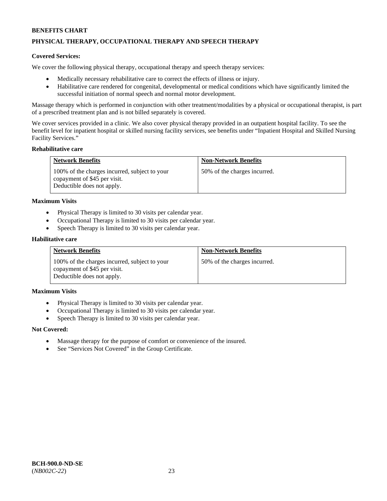# **PHYSICAL THERAPY, OCCUPATIONAL THERAPY AND SPEECH THERAPY**

### **Covered Services:**

We cover the following physical therapy, occupational therapy and speech therapy services:

- Medically necessary rehabilitative care to correct the effects of illness or injury.
- Habilitative care rendered for congenital, developmental or medical conditions which have significantly limited the successful initiation of normal speech and normal motor development.

Massage therapy which is performed in conjunction with other treatment/modalities by a physical or occupational therapist, is part of a prescribed treatment plan and is not billed separately is covered.

We cover services provided in a clinic. We also cover physical therapy provided in an outpatient hospital facility. To see the benefit level for inpatient hospital or skilled nursing facility services, see benefits under "Inpatient Hospital and Skilled Nursing Facility Services."

#### **Rehabilitative care**

| <b>Network Benefits</b>                                                                                     | <b>Non-Network Benefits</b>  |
|-------------------------------------------------------------------------------------------------------------|------------------------------|
| 100% of the charges incurred, subject to your<br>copayment of \$45 per visit.<br>Deductible does not apply. | 50% of the charges incurred. |

#### **Maximum Visits**

- Physical Therapy is limited to 30 visits per calendar year.
- Occupational Therapy is limited to 30 visits per calendar year.
- Speech Therapy is limited to 30 visits per calendar year.

#### **Habilitative care**

| <b>Network Benefits</b>                                                                                     | <b>Non-Network Benefits</b>  |
|-------------------------------------------------------------------------------------------------------------|------------------------------|
| 100% of the charges incurred, subject to your<br>copayment of \$45 per visit.<br>Deductible does not apply. | 50% of the charges incurred. |

### **Maximum Visits**

- Physical Therapy is limited to 30 visits per calendar year.
- Occupational Therapy is limited to 30 visits per calendar year.
- Speech Therapy is limited to 30 visits per calendar year.

#### **Not Covered:**

- Massage therapy for the purpose of comfort or convenience of the insured.
- See "Services Not Covered" in the Group Certificate.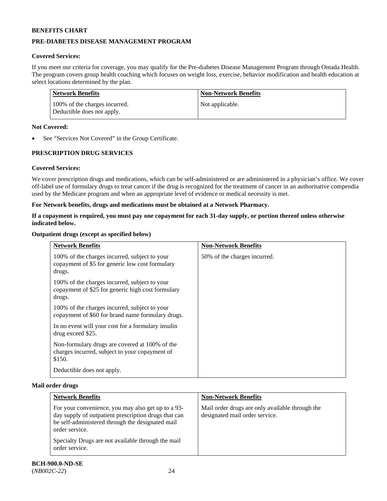# **PRE-DIABETES DISEASE MANAGEMENT PROGRAM**

# **Covered Services:**

If you meet our criteria for coverage, you may qualify for the Pre-diabetes Disease Management Program through Omada Health. The program covers group health coaching which focuses on weight loss, exercise, behavior modification and health education at select locations determined by the plan.

| Network Benefits                                            | <b>Non-Network Benefits</b> |
|-------------------------------------------------------------|-----------------------------|
| 100% of the charges incurred.<br>Deductible does not apply. | Not applicable.             |

### **Not Covered:**

See "Services Not Covered" in the Group Certificate.

# **PRESCRIPTION DRUG SERVICES**

# **Covered Services:**

We cover prescription drugs and medications, which can be self-administered or are administered in a physician's office. We cover off-label use of formulary drugs to treat cancer if the drug is recognized for the treatment of cancer in an authoritative compendia used by the Medicare program and when an appropriate level of evidence or medical necessity is met.

### **For Network benefits, drugs and medications must be obtained at a Network Pharmacy.**

### **If a copayment is required, you must pay one copayment for each 31-day supply, or portion thereof unless otherwise indicated below.**

### **Outpatient drugs (except as specified below)**

| <b>Network Benefits</b>                                                                                      | <b>Non-Network Benefits</b>  |
|--------------------------------------------------------------------------------------------------------------|------------------------------|
| 100% of the charges incurred, subject to your<br>copayment of \$5 for generic low cost formulary<br>drugs.   | 50% of the charges incurred. |
| 100% of the charges incurred, subject to your<br>copayment of \$25 for generic high cost formulary<br>drugs. |                              |
| 100% of the charges incurred, subject to your<br>copayment of \$60 for brand name formulary drugs.           |                              |
| In no event will your cost for a formulary insulin<br>drug exceed \$25.                                      |                              |
| Non-formulary drugs are covered at 100% of the<br>charges incurred, subject to your copayment of<br>\$150.   |                              |
| Deductible does not apply.                                                                                   |                              |

#### **Mail order drugs**

| <b>Network Benefits</b>                                                                                                                                                          | <b>Non-Network Benefits</b>                                                       |
|----------------------------------------------------------------------------------------------------------------------------------------------------------------------------------|-----------------------------------------------------------------------------------|
| For your convenience, you may also get up to a 93-<br>day supply of outpatient prescription drugs that can<br>be self-administered through the designated mail<br>order service. | Mail order drugs are only available through the<br>designated mail order service. |
| Specialty Drugs are not available through the mail<br>order service.                                                                                                             |                                                                                   |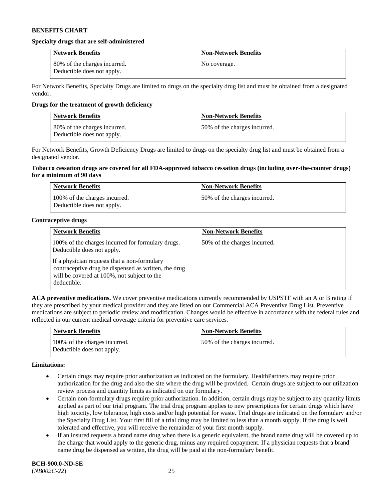#### **Specialty drugs that are self-administered**

| <b>Network Benefits</b>                                    | <b>Non-Network Benefits</b> |
|------------------------------------------------------------|-----------------------------|
| 80% of the charges incurred.<br>Deductible does not apply. | No coverage.                |

For Network Benefits, Specialty Drugs are limited to drugs on the specialty drug list and must be obtained from a designated vendor.

### **Drugs for the treatment of growth deficiency**

| <b>Network Benefits</b>                                    | <b>Non-Network Benefits</b>  |
|------------------------------------------------------------|------------------------------|
| 80% of the charges incurred.<br>Deductible does not apply. | 50% of the charges incurred. |

For Network Benefits, Growth Deficiency Drugs are limited to drugs on the specialty drug list and must be obtained from a designated vendor.

### **Tobacco cessation drugs are covered for all FDA-approved tobacco cessation drugs (including over-the-counter drugs) for a minimum of 90 days**

| <b>Network Benefits</b>                                     | <b>Non-Network Benefits</b>  |
|-------------------------------------------------------------|------------------------------|
| 100% of the charges incurred.<br>Deductible does not apply. | 50% of the charges incurred. |

### **Contraceptive drugs**

| <b>Network Benefits</b>                                                                                                                                            | <b>Non-Network Benefits</b>  |
|--------------------------------------------------------------------------------------------------------------------------------------------------------------------|------------------------------|
| 100% of the charges incurred for formulary drugs.<br>Deductible does not apply.                                                                                    | 50% of the charges incurred. |
| If a physician requests that a non-formulary<br>contraceptive drug be dispensed as written, the drug<br>will be covered at 100%, not subject to the<br>deductible. |                              |

**ACA preventive medications.** We cover preventive medications currently recommended by USPSTF with an A or B rating if they are prescribed by your medical provider and they are listed on our Commercial ACA Preventive Drug List. Preventive medications are subject to periodic review and modification. Changes would be effective in accordance with the federal rules and reflected in our current medical coverage criteria for preventive care services.

| <b>Network Benefits</b>                                     | <b>Non-Network Benefits</b>  |
|-------------------------------------------------------------|------------------------------|
| 100% of the charges incurred.<br>Deductible does not apply. | 50% of the charges incurred. |

#### **Limitations:**

- Certain drugs may require prior authorization as indicated on the formulary. HealthPartners may require prior authorization for the drug and also the site where the drug will be provided. Certain drugs are subject to our utilization review process and quantity limits as indicated on our formulary.
- Certain non-formulary drugs require prior authorization. In addition, certain drugs may be subject to any quantity limits applied as part of our trial program. The trial drug program applies to new prescriptions for certain drugs which have high toxicity, low tolerance, high costs and/or high potential for waste. Trial drugs are indicated on the formulary and/or the Specialty Drug List. Your first fill of a trial drug may be limited to less than a month supply. If the drug is well tolerated and effective, you will receive the remainder of your first month supply.
- If an insured requests a brand name drug when there is a generic equivalent, the brand name drug will be covered up to the charge that would apply to the generic drug, minus any required copayment. If a physician requests that a brand name drug be dispensed as written, the drug will be paid at the non-formulary benefit.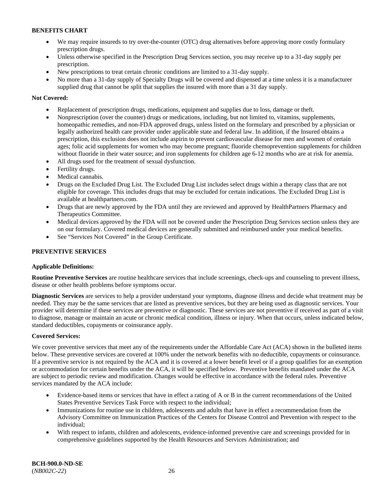- We may require insureds to try over-the-counter (OTC) drug alternatives before approving more costly formulary prescription drugs.
- Unless otherwise specified in the Prescription Drug Services section, you may receive up to a 31-day supply per prescription.
- New prescriptions to treat certain chronic conditions are limited to a 31-day supply.
- No more than a 31-day supply of Specialty Drugs will be covered and dispensed at a time unless it is a manufacturer supplied drug that cannot be split that supplies the insured with more than a 31 day supply.

# **Not Covered:**

- Replacement of prescription drugs, medications, equipment and supplies due to loss, damage or theft.
- Nonprescription (over the counter) drugs or medications, including, but not limited to, vitamins, supplements, homeopathic remedies, and non-FDA approved drugs, unless listed on the formulary and prescribed by a physician or legally authorized health care provider under applicable state and federal law. In addition, if the Insured obtains a prescription, this exclusion does not include aspirin to prevent cardiovascular disease for men and women of certain ages; folic acid supplements for women who may become pregnant; fluoride chemoprevention supplements for children without fluoride in their water source; and iron supplements for children age 6-12 months who are at risk for anemia.
- All drugs used for the treatment of sexual dysfunction.
- Fertility drugs.
- Medical cannabis.
- Drugs on the Excluded Drug List. The Excluded Drug List includes select drugs within a therapy class that are not eligible for coverage. This includes drugs that may be excluded for certain indications. The Excluded Drug List is available at [healthpartners.com.](http://www.healthpartners.com/)
- Drugs that are newly approved by the FDA until they are reviewed and approved by HealthPartners Pharmacy and Therapeutics Committee.
- Medical devices approved by the FDA will not be covered under the Prescription Drug Services section unless they are on our formulary. Covered medical devices are generally submitted and reimbursed under your medical benefits.
- See "Services Not Covered" in the Group Certificate.

# **PREVENTIVE SERVICES**

# **Applicable Definitions:**

**Routine Preventive Services** are routine healthcare services that include screenings, check-ups and counseling to prevent illness, disease or other health problems before symptoms occur.

**Diagnostic Services** are services to help a provider understand your symptoms, diagnose illness and decide what treatment may be needed. They may be the same services that are listed as preventive services, but they are being used as diagnostic services. Your provider will determine if these services are preventive or diagnostic. These services are not preventive if received as part of a visit to diagnose, manage or maintain an acute or chronic medical condition, illness or injury. When that occurs, unless indicated below, standard deductibles, copayments or coinsurance apply.

# **Covered Services:**

We cover preventive services that meet any of the requirements under the Affordable Care Act (ACA) shown in the bulleted items below. These preventive services are covered at 100% under the network benefits with no deductible, copayments or coinsurance. If a preventive service is not required by the ACA and it is covered at a lower benefit level or if a group qualifies for an exemption or accommodation for certain benefits under the ACA, it will be specified below. Preventive benefits mandated under the ACA are subject to periodic review and modification. Changes would be effective in accordance with the federal rules. Preventive services mandated by the ACA include:

- Evidence-based items or services that have in effect a rating of A or B in the current recommendations of the United States Preventive Services Task Force with respect to the individual;
- Immunizations for routine use in children, adolescents and adults that have in effect a recommendation from the Advisory Committee on Immunization Practices of the Centers for Disease Control and Prevention with respect to the individual;
- With respect to infants, children and adolescents, evidence-informed preventive care and screenings provided for in comprehensive guidelines supported by the Health Resources and Services Administration; and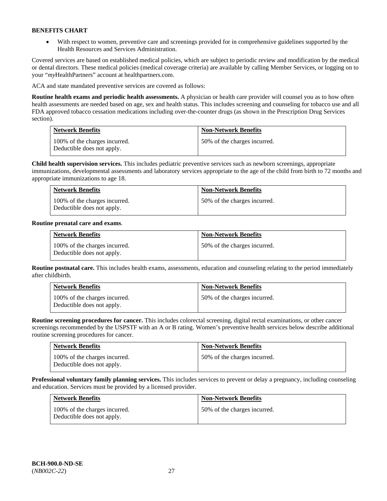• With respect to women, preventive care and screenings provided for in comprehensive guidelines supported by the Health Resources and Services Administration.

Covered services are based on established medical policies, which are subject to periodic review and modification by the medical or dental directors. These medical policies (medical coverage criteria) are available by calling Member Services, or logging on to your "*my*HealthPartners" account at [healthpartners.com.](http://www.healthpartners.com/) 

ACA and state mandated preventive services are covered as follows:

**Routine health exams and periodic health assessments.** A physician or health care provider will counsel you as to how often health assessments are needed based on age, sex and health status. This includes screening and counseling for tobacco use and all FDA approved tobacco cessation medications including over-the-counter drugs (as shown in the Prescription Drug Services section).

| <b>Network Benefits</b>                                     | <b>Non-Network Benefits</b>  |
|-------------------------------------------------------------|------------------------------|
| 100% of the charges incurred.<br>Deductible does not apply. | 50% of the charges incurred. |

**Child health supervision services.** This includes pediatric preventive services such as newborn screenings, appropriate immunizations, developmental assessments and laboratory services appropriate to the age of the child from birth to 72 months and appropriate immunizations to age 18.

| <b>Network Benefits</b>                                     | <b>Non-Network Benefits</b>  |
|-------------------------------------------------------------|------------------------------|
| 100% of the charges incurred.<br>Deductible does not apply. | 50% of the charges incurred. |

# **Routine prenatal care and exams**.

| <b>Network Benefits</b>                                     | <b>Non-Network Benefits</b>  |
|-------------------------------------------------------------|------------------------------|
| 100% of the charges incurred.<br>Deductible does not apply. | 50% of the charges incurred. |

**Routine postnatal care.** This includes health exams, assessments, education and counseling relating to the period immediately after childbirth.

| <b>Network Benefits</b>                                     | <b>Non-Network Benefits</b>  |
|-------------------------------------------------------------|------------------------------|
| 100% of the charges incurred.<br>Deductible does not apply. | 50% of the charges incurred. |

**Routine screening procedures for cancer.** This includes colorectal screening, digital rectal examinations, or other cancer screenings recommended by the USPSTF with an A or B rating. Women's preventive health services below describe additional routine screening procedures for cancer.

| <b>Network Benefits</b>                                     | <b>Non-Network Benefits</b>  |
|-------------------------------------------------------------|------------------------------|
| 100% of the charges incurred.<br>Deductible does not apply. | 50% of the charges incurred. |

**Professional voluntary family planning services.** This includes services to prevent or delay a pregnancy, including counseling and education. Services must be provided by a licensed provider.

| <b>Network Benefits</b>                                     | <b>Non-Network Benefits</b>  |
|-------------------------------------------------------------|------------------------------|
| 100% of the charges incurred.<br>Deductible does not apply. | 50% of the charges incurred. |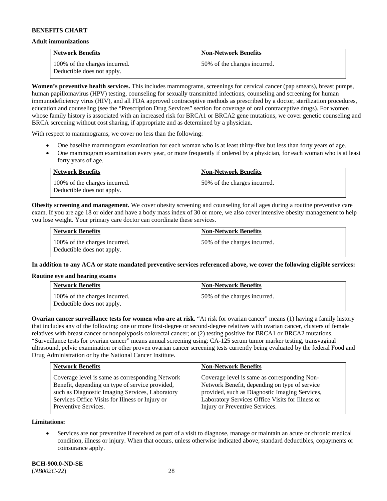#### **Adult immunizations**

| <b>Network Benefits</b>                                     | <b>Non-Network Benefits</b>  |
|-------------------------------------------------------------|------------------------------|
| 100% of the charges incurred.<br>Deductible does not apply. | 50% of the charges incurred. |

**Women's preventive health services.** This includes mammograms, screenings for cervical cancer (pap smears), breast pumps, human papillomavirus (HPV) testing, counseling for sexually transmitted infections, counseling and screening for human immunodeficiency virus (HIV), and all FDA approved contraceptive methods as prescribed by a doctor, sterilization procedures, education and counseling (see the "Prescription Drug Services" section for coverage of oral contraceptive drugs). For women whose family history is associated with an increased risk for BRCA1 or BRCA2 gene mutations, we cover genetic counseling and BRCA screening without cost sharing, if appropriate and as determined by a physician.

With respect to mammograms, we cover no less than the following:

- One baseline mammogram examination for each woman who is at least thirty-five but less than forty years of age.
- One mammogram examination every year, or more frequently if ordered by a physician, for each woman who is at least forty years of age.

| <b>Network Benefits</b>                                     | <b>Non-Network Benefits</b>  |
|-------------------------------------------------------------|------------------------------|
| 100% of the charges incurred.<br>Deductible does not apply. | 50% of the charges incurred. |

**Obesity screening and management.** We cover obesity screening and counseling for all ages during a routine preventive care exam. If you are age 18 or older and have a body mass index of 30 or more, we also cover intensive obesity management to help you lose weight. Your primary care doctor can coordinate these services.

| <b>Network Benefits</b>                                     | <b>Non-Network Benefits</b>  |
|-------------------------------------------------------------|------------------------------|
| 100% of the charges incurred.<br>Deductible does not apply. | 50% of the charges incurred. |

**In addition to any ACA or state mandated preventive services referenced above, we cover the following eligible services:**

#### **Routine eye and hearing exams**

| <b>Network Benefits</b>                                     | <b>Non-Network Benefits</b>  |
|-------------------------------------------------------------|------------------------------|
| 100% of the charges incurred.<br>Deductible does not apply. | 50% of the charges incurred. |

**Ovarian cancer surveillance tests for women who are at risk.** "At risk for ovarian cancer" means (1) having a family history that includes any of the following: one or more first-degree or second-degree relatives with ovarian cancer, clusters of female relatives with breast cancer or nonpolyposis colorectal cancer; or (2) testing positive for BRCA1 or BRCA2 mutations. "Surveillance tests for ovarian cancer" means annual screening using: CA-125 serum tumor marker testing, transvaginal ultrasound, pelvic examination or other proven ovarian cancer screening tests currently being evaluated by the federal Food and Drug Administration or by the National Cancer Institute.

| <b>Network Benefits</b>                         | <b>Non-Network Benefits</b>                      |
|-------------------------------------------------|--------------------------------------------------|
| Coverage level is same as corresponding Network | Coverage level is same as corresponding Non-     |
| Benefit, depending on type of service provided, | Network Benefit, depending on type of service    |
| such as Diagnostic Imaging Services, Laboratory | provided, such as Diagnostic Imaging Services,   |
| Services Office Visits for Illness or Injury or | Laboratory Services Office Visits for Illness or |
| Preventive Services.                            | Injury or Preventive Services.                   |

**Limitations:**

• Services are not preventive if received as part of a visit to diagnose, manage or maintain an acute or chronic medical condition, illness or injury. When that occurs, unless otherwise indicated above, standard deductibles, copayments or coinsurance apply.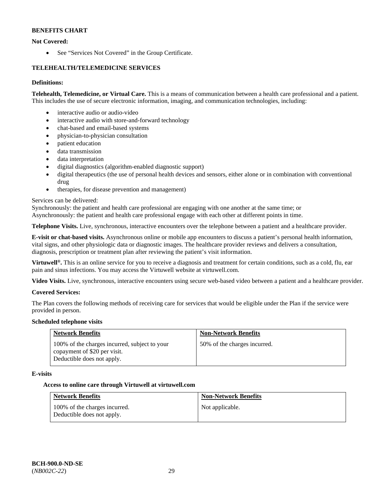# **Not Covered:**

• See "Services Not Covered" in the Group Certificate.

# **TELEHEALTH/TELEMEDICINE SERVICES**

# **Definitions:**

**Telehealth, Telemedicine, or Virtual Care.** This is a means of communication between a health care professional and a patient. This includes the use of secure electronic information, imaging, and communication technologies, including:

- interactive audio or audio-video
- interactive audio with store-and-forward technology
- chat-based and email-based systems
- physician-to-physician consultation
- patient education
- data transmission
- data interpretation
- digital diagnostics (algorithm-enabled diagnostic support)
- digital therapeutics (the use of personal health devices and sensors, either alone or in combination with conventional drug
- therapies, for disease prevention and management)

# Services can be delivered:

Synchronously: the patient and health care professional are engaging with one another at the same time; or

Asynchronously: the patient and health care professional engage with each other at different points in time.

**Telephone Visits.** Live, synchronous, interactive encounters over the telephone between a patient and a healthcare provider.

**E-visit or chat-based visits.** Asynchronous online or mobile app encounters to discuss a patient's personal health information, vital signs, and other physiologic data or diagnostic images. The healthcare provider reviews and delivers a consultation, diagnosis, prescription or treatment plan after reviewing the patient's visit information.

**Virtuwell®.** This is an online service for you to receive a diagnosis and treatment for certain conditions, such as a cold, flu, ear pain and sinus infections. You may access the Virtuwell website at [virtuwell.com.](https://www.virtuwell.com/)

**Video Visits.** Live, synchronous, interactive encounters using secure web-based video between a patient and a healthcare provider.

# **Covered Services:**

The Plan covers the following methods of receiving care for services that would be eligible under the Plan if the service were provided in person.

# **Scheduled telephone visits**

| <b>Network Benefits</b>                                                                                     | <b>Non-Network Benefits</b>  |
|-------------------------------------------------------------------------------------------------------------|------------------------------|
| 100% of the charges incurred, subject to your<br>copayment of \$20 per visit.<br>Deductible does not apply. | 50% of the charges incurred. |

# **E-visits**

# **Access to online care through Virtuwell at [virtuwell.com](https://www.virtuwell.com/)**

| <b>Network Benefits</b>                                     | <b>Non-Network Benefits</b> |
|-------------------------------------------------------------|-----------------------------|
| 100% of the charges incurred.<br>Deductible does not apply. | Not applicable.             |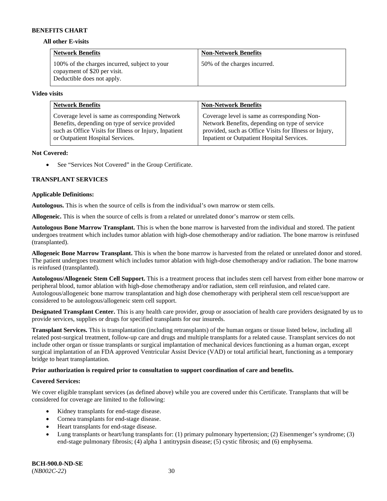#### **All other E-visits**

| <b>Network Benefits</b>                                                                                     | <b>Non-Network Benefits</b>  |
|-------------------------------------------------------------------------------------------------------------|------------------------------|
| 100% of the charges incurred, subject to your<br>copayment of \$20 per visit.<br>Deductible does not apply. | 50% of the charges incurred. |

#### **Video visits**

| <b>Network Benefits</b>                                | <b>Non-Network Benefits</b>                            |
|--------------------------------------------------------|--------------------------------------------------------|
| Coverage level is same as corresponding Network        | Coverage level is same as corresponding Non-           |
| Benefits, depending on type of service provided        | Network Benefits, depending on type of service         |
| such as Office Visits for Illness or Injury, Inpatient | provided, such as Office Visits for Illness or Injury, |
| or Outpatient Hospital Services.                       | Inpatient or Outpatient Hospital Services.             |

### **Not Covered:**

• See "Services Not Covered" in the Group Certificate.

# **TRANSPLANT SERVICES**

### **Applicable Definitions:**

**Autologous.** This is when the source of cells is from the individual's own marrow or stem cells.

**Allogeneic.** This is when the source of cells is from a related or unrelated donor's marrow or stem cells.

**Autologous Bone Marrow Transplant.** This is when the bone marrow is harvested from the individual and stored. The patient undergoes treatment which includes tumor ablation with high-dose chemotherapy and/or radiation. The bone marrow is reinfused (transplanted).

**Allogeneic Bone Marrow Transplant.** This is when the bone marrow is harvested from the related or unrelated donor and stored. The patient undergoes treatment which includes tumor ablation with high-dose chemotherapy and/or radiation. The bone marrow is reinfused (transplanted).

**Autologous/Allogeneic Stem Cell Support.** This is a treatment process that includes stem cell harvest from either bone marrow or peripheral blood, tumor ablation with high-dose chemotherapy and/or radiation, stem cell reinfusion, and related care. Autologous/allogeneic bone marrow transplantation and high dose chemotherapy with peripheral stem cell rescue/support are considered to be autologous/allogeneic stem cell support.

**Designated Transplant Center.** This is any health care provider, group or association of health care providers designated by us to provide services, supplies or drugs for specified transplants for our insureds.

**Transplant Services.** This is transplantation (including retransplants) of the human organs or tissue listed below, including all related post-surgical treatment, follow-up care and drugs and multiple transplants for a related cause. Transplant services do not include other organ or tissue transplants or surgical implantation of mechanical devices functioning as a human organ, except surgical implantation of an FDA approved Ventricular Assist Device (VAD) or total artificial heart, functioning as a temporary bridge to heart transplantation.

# **Prior authorization is required prior to consultation to support coordination of care and benefits.**

# **Covered Services:**

We cover eligible transplant services (as defined above) while you are covered under this Certificate. Transplants that will be considered for coverage are limited to the following:

- Kidney transplants for end-stage disease.
- Cornea transplants for end-stage disease.
- Heart transplants for end-stage disease.
- Lung transplants or heart/lung transplants for: (1) primary pulmonary hypertension; (2) Eisenmenger's syndrome; (3) end-stage pulmonary fibrosis; (4) alpha 1 antitrypsin disease; (5) cystic fibrosis; and (6) emphysema.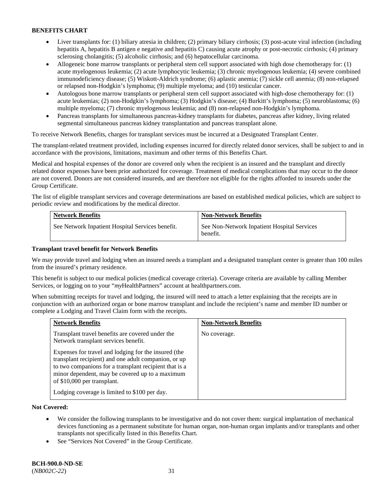- Liver transplants for: (1) biliary atresia in children; (2) primary biliary cirrhosis; (3) post-acute viral infection (including hepatitis A, hepatitis B antigen e negative and hepatitis C) causing acute atrophy or post-necrotic cirrhosis; (4) primary sclerosing cholangitis; (5) alcoholic cirrhosis; and (6) hepatocellular carcinoma.
- Allogeneic bone marrow transplants or peripheral stem cell support associated with high dose chemotherapy for: (1) acute myelogenous leukemia; (2) acute lymphocytic leukemia; (3) chronic myelogenous leukemia; (4) severe combined immunodeficiency disease; (5) Wiskott-Aldrich syndrome; (6) aplastic anemia; (7) sickle cell anemia; (8) non-relapsed or relapsed non-Hodgkin's lymphoma; (9) multiple myeloma; and (10) testicular cancer.
- Autologous bone marrow transplants or peripheral stem cell support associated with high-dose chemotherapy for: (1) acute leukemias; (2) non-Hodgkin's lymphoma; (3) Hodgkin's disease; (4) Burkitt's lymphoma; (5) neuroblastoma; (6) multiple myeloma; (7) chronic myelogenous leukemia; and (8) non-relapsed non-Hodgkin's lymphoma.
- Pancreas transplants for simultaneous pancreas-kidney transplants for diabetes, pancreas after kidney, living related segmental simultaneous pancreas kidney transplantation and pancreas transplant alone.

To receive Network Benefits, charges for transplant services must be incurred at a Designated Transplant Center.

The transplant-related treatment provided, including expenses incurred for directly related donor services, shall be subject to and in accordance with the provisions, limitations, maximum and other terms of this Benefits Chart.

Medical and hospital expenses of the donor are covered only when the recipient is an insured and the transplant and directly related donor expenses have been prior authorized for coverage. Treatment of medical complications that may occur to the donor are not covered. Donors are not considered insureds, and are therefore not eligible for the rights afforded to insureds under the Group Certificate.

The list of eligible transplant services and coverage determinations are based on established medical policies, which are subject to periodic review and modifications by the medical director.

| <b>Network Benefits</b>                          | <b>Non-Network Benefits</b>                             |
|--------------------------------------------------|---------------------------------------------------------|
| See Network Inpatient Hospital Services benefit. | See Non-Network Inpatient Hospital Services<br>benefit. |

# **Transplant travel benefit for Network Benefits**

We may provide travel and lodging when an insured needs a transplant and a designated transplant center is greater than 100 miles from the insured's primary residence.

This benefit is subject to our medical policies (medical coverage criteria). Coverage criteria are available by calling Member Services, or logging on to your "*my*HealthPartners" account a[t healthpartners.com.](http://healthpartners.com/)

When submitting receipts for travel and lodging, the insured will need to attach a letter explaining that the receipts are in conjunction with an authorized organ or bone marrow transplant and include the recipient's name and member ID number or complete a Lodging and Travel Claim form with the receipts.

| <b>Network Benefits</b>                                                                                                                                                                                                                                  | <b>Non-Network Benefits</b> |
|----------------------------------------------------------------------------------------------------------------------------------------------------------------------------------------------------------------------------------------------------------|-----------------------------|
| Transplant travel benefits are covered under the<br>Network transplant services benefit.                                                                                                                                                                 | No coverage.                |
| Expenses for travel and lodging for the insured (the<br>transplant recipient) and one adult companion, or up<br>to two companions for a transplant recipient that is a<br>minor dependent, may be covered up to a maximum<br>of \$10,000 per transplant. |                             |
| Lodging coverage is limited to \$100 per day.                                                                                                                                                                                                            |                             |

# **Not Covered:**

- We consider the following transplants to be investigative and do not cover them: surgical implantation of mechanical devices functioning as a permanent substitute for human organ, non-human organ implants and/or transplants and other transplants not specifically listed in this Benefits Chart.
- See "Services Not Covered" in the Group Certificate.